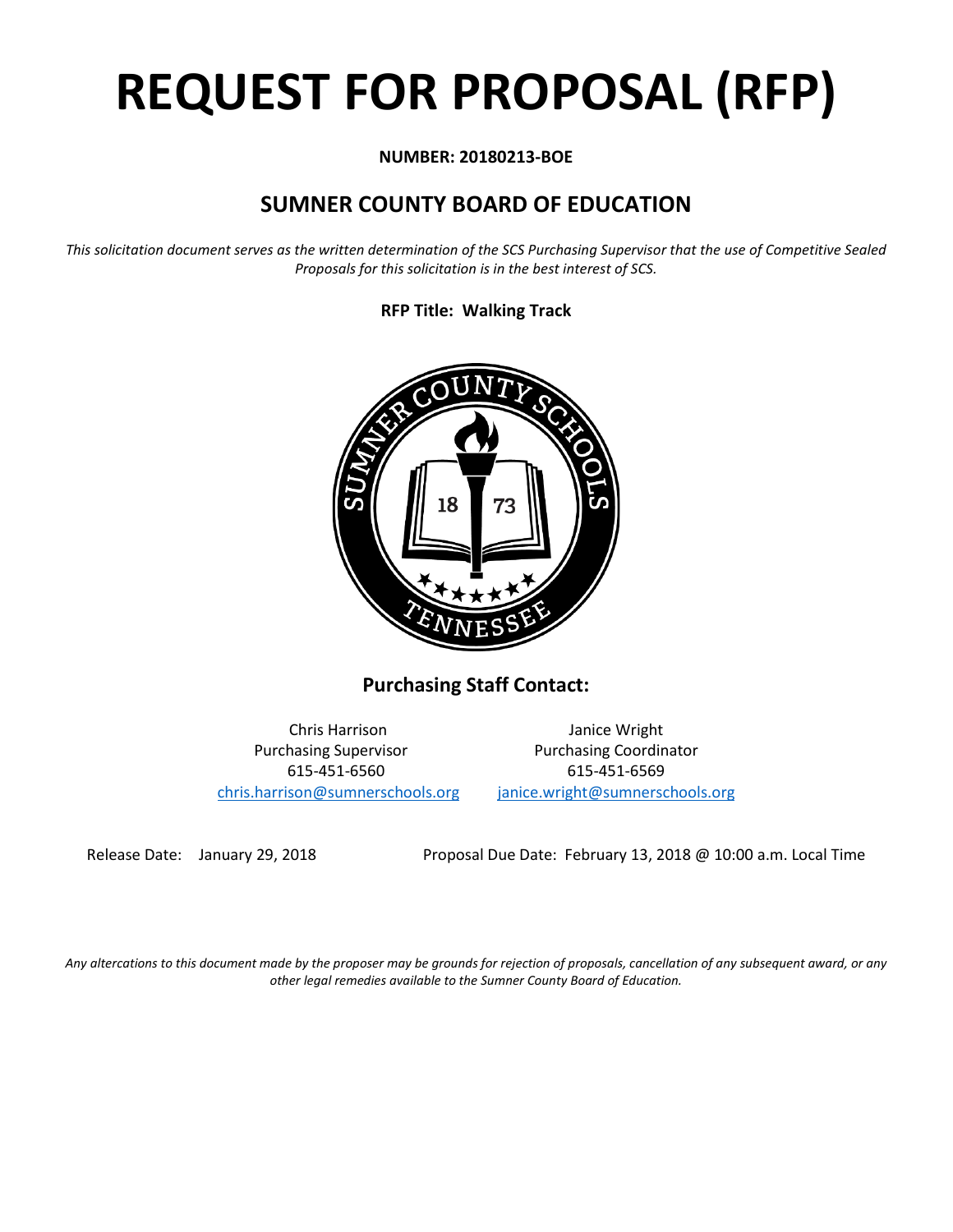# **REQUEST FOR PROPOSAL (RFP)**

# **NUMBER: 20180213-BOE**

# **SUMNER COUNTY BOARD OF EDUCATION**

*This solicitation document serves as the written determination of the SCS Purchasing Supervisor that the use of Competitive Sealed Proposals for this solicitation is in the best interest of SCS.*

**RFP Title: Walking Track**



**Purchasing Staff Contact:**

[chris.harrison@sumnerschools.org](mailto:chris.harrison@sumnerschools.org) [janice.wright@sumnerschools.org](mailto:janice.wright@sumnerschools.org)

Chris Harrison Janice Wright Purchasing Supervisor **Purchasing Coordinator** 615-451-6560 615-451-6569

Release Date: January 29, 2018 Proposal Due Date: February 13, 2018 @ 10:00 a.m. Local Time

*Any altercations to this document made by the proposer may be grounds for rejection of proposals, cancellation of any subsequent award, or any other legal remedies available to the Sumner County Board of Education.*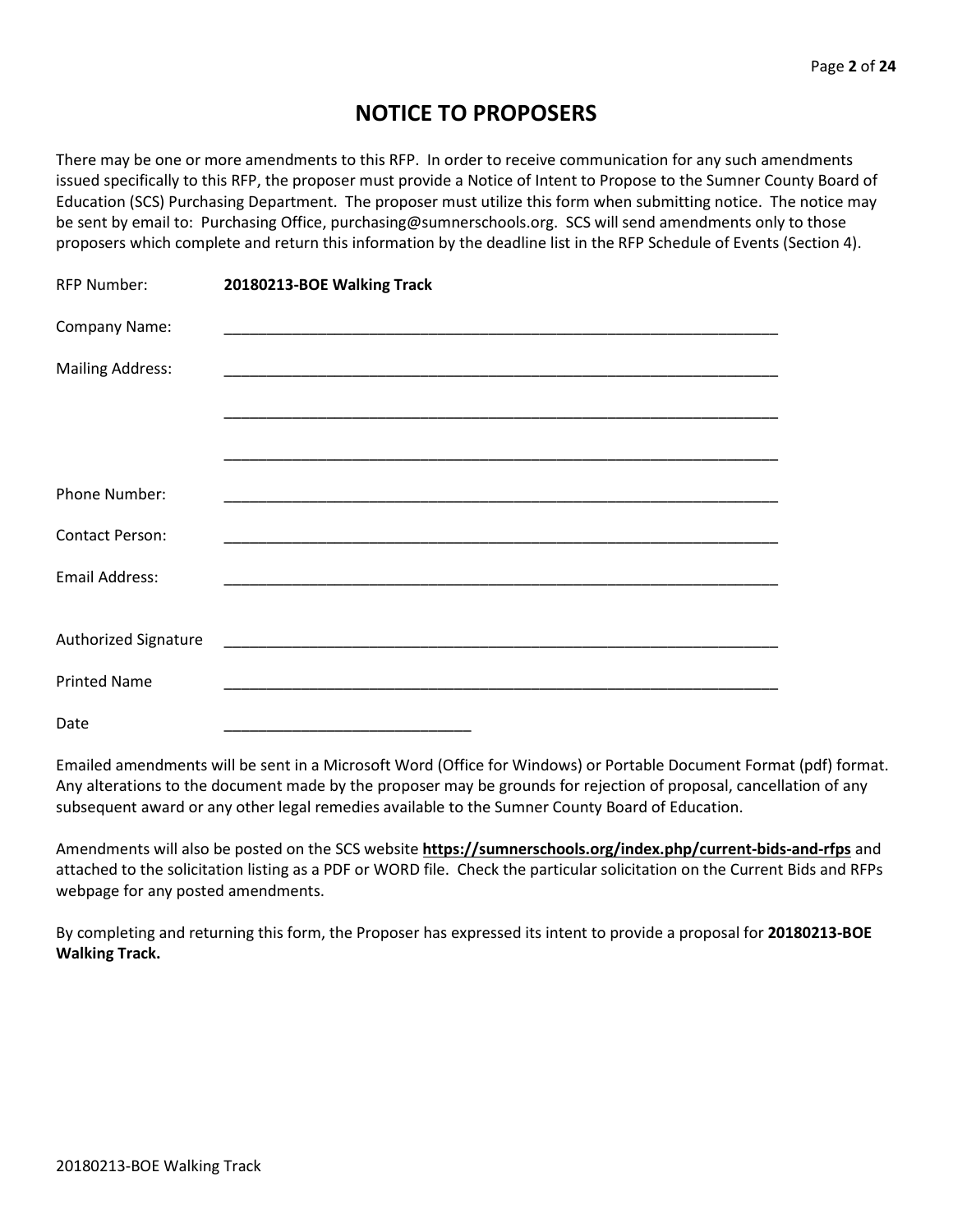# **NOTICE TO PROPOSERS**

There may be one or more amendments to this RFP. In order to receive communication for any such amendments issued specifically to this RFP, the proposer must provide a Notice of Intent to Propose to the Sumner County Board of Education (SCS) Purchasing Department. The proposer must utilize this form when submitting notice. The notice may be sent by email to: Purchasing Office, purchasing@sumnerschools.org. SCS will send amendments only to those proposers which complete and return this information by the deadline list in the RFP Schedule of Events (Section 4).

| <b>RFP Number:</b>      | 20180213-BOE Walking Track                                                                                            |
|-------------------------|-----------------------------------------------------------------------------------------------------------------------|
| Company Name:           |                                                                                                                       |
| <b>Mailing Address:</b> | <u> 1989 - Johann Stein, marwolaethau a bhann an t-Amhain ann an t-Amhain an t-Amhain an t-Amhain an t-Amhain an </u> |
|                         |                                                                                                                       |
|                         |                                                                                                                       |
| Phone Number:           |                                                                                                                       |
| <b>Contact Person:</b>  |                                                                                                                       |
| Email Address:          |                                                                                                                       |
|                         |                                                                                                                       |
| Authorized Signature    |                                                                                                                       |
| <b>Printed Name</b>     |                                                                                                                       |
| Date                    |                                                                                                                       |

Emailed amendments will be sent in a Microsoft Word (Office for Windows) or Portable Document Format (pdf) format. Any alterations to the document made by the proposer may be grounds for rejection of proposal, cancellation of any subsequent award or any other legal remedies available to the Sumner County Board of Education.

Amendments will also be posted on the SCS website **https://sumnerschools.org/index.php/current-bids-and-rfps** and attached to the solicitation listing as a PDF or WORD file. Check the particular solicitation on the Current Bids and RFPs webpage for any posted amendments.

By completing and returning this form, the Proposer has expressed its intent to provide a proposal for **20180213-BOE Walking Track.**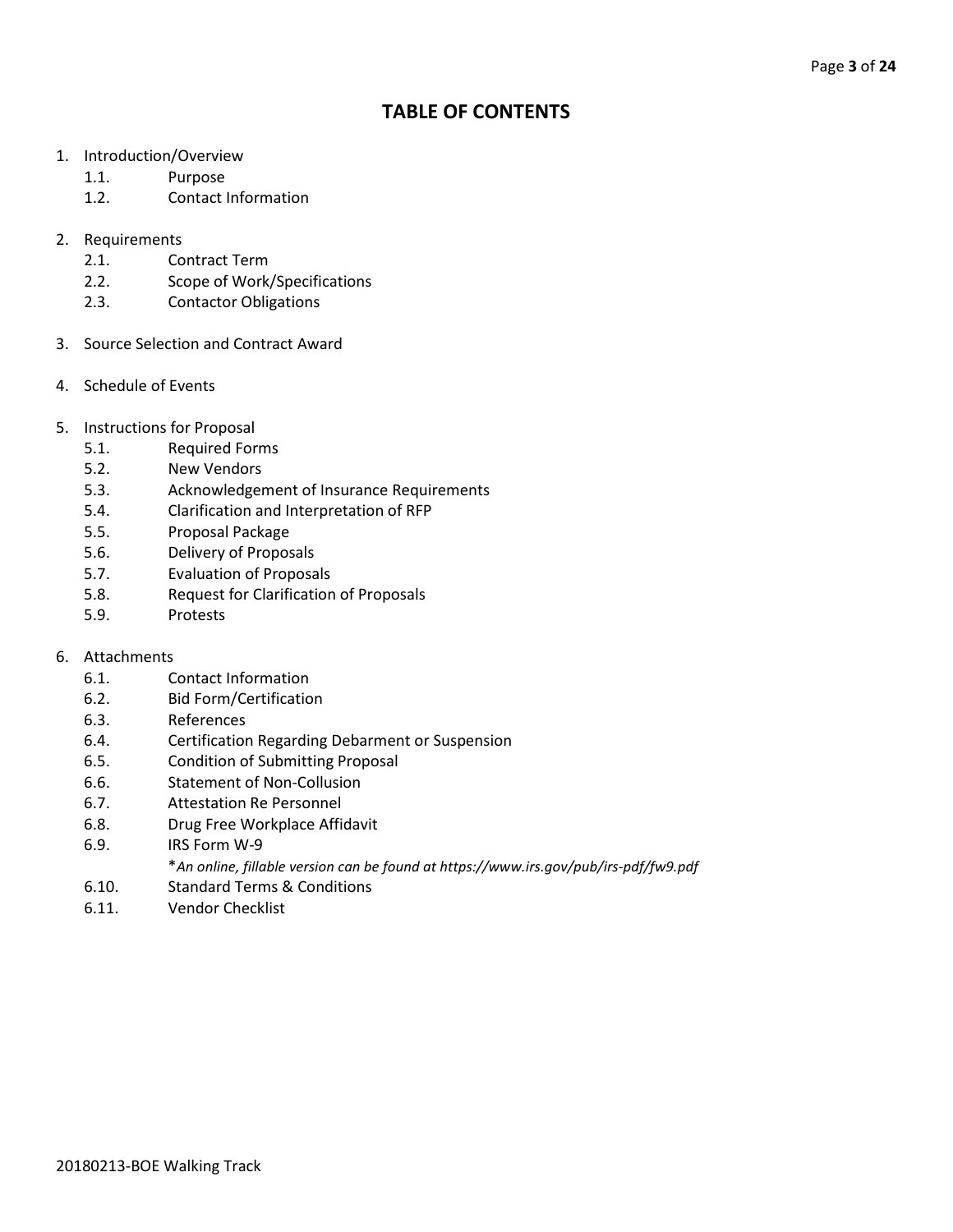# **TABLE OF CONTENTS**

- 1. Introduction/Overview
	- 1.1. Purpose
	- 1.2. Contact Information
- 2. Requirements
	- 2.1. Contract Term
	- 2.2. Scope of Work/Specifications
	- 2.3. Contactor Obligations
- 3. Source Selection and Contract Award
- 4. Schedule of Events
- 5. Instructions for Proposal
	- 5.1. Required Forms
	- 5.2. New Vendors
	- 5.3. Acknowledgement of Insurance Requirements
	- 5.4. Clarification and Interpretation of RFP
	- 5.5. Proposal Package
	- 5.6. Delivery of Proposals
	- 5.7. Evaluation of Proposals
	- 5.8. Request for Clarification of Proposals
	- 5.9. Protests

## 6. Attachments

- 6.1. Contact Information
- 6.2. Bid Form/Certification
- 6.3. References
- 6.4. Certification Regarding Debarment or Suspension
- 6.5. Condition of Submitting Proposal
- 6.6. Statement of Non-Collusion
- 6.7. Attestation Re Personnel
- 6.8. Drug Free Workplace Affidavit
- 6.9. IRS Form W-9
	- \**An online, fillable version can be found at https://www.irs.gov/pub/irs-pdf/fw9.pdf*
- 6.10. Standard Terms & Conditions
- 6.11. Vendor Checklist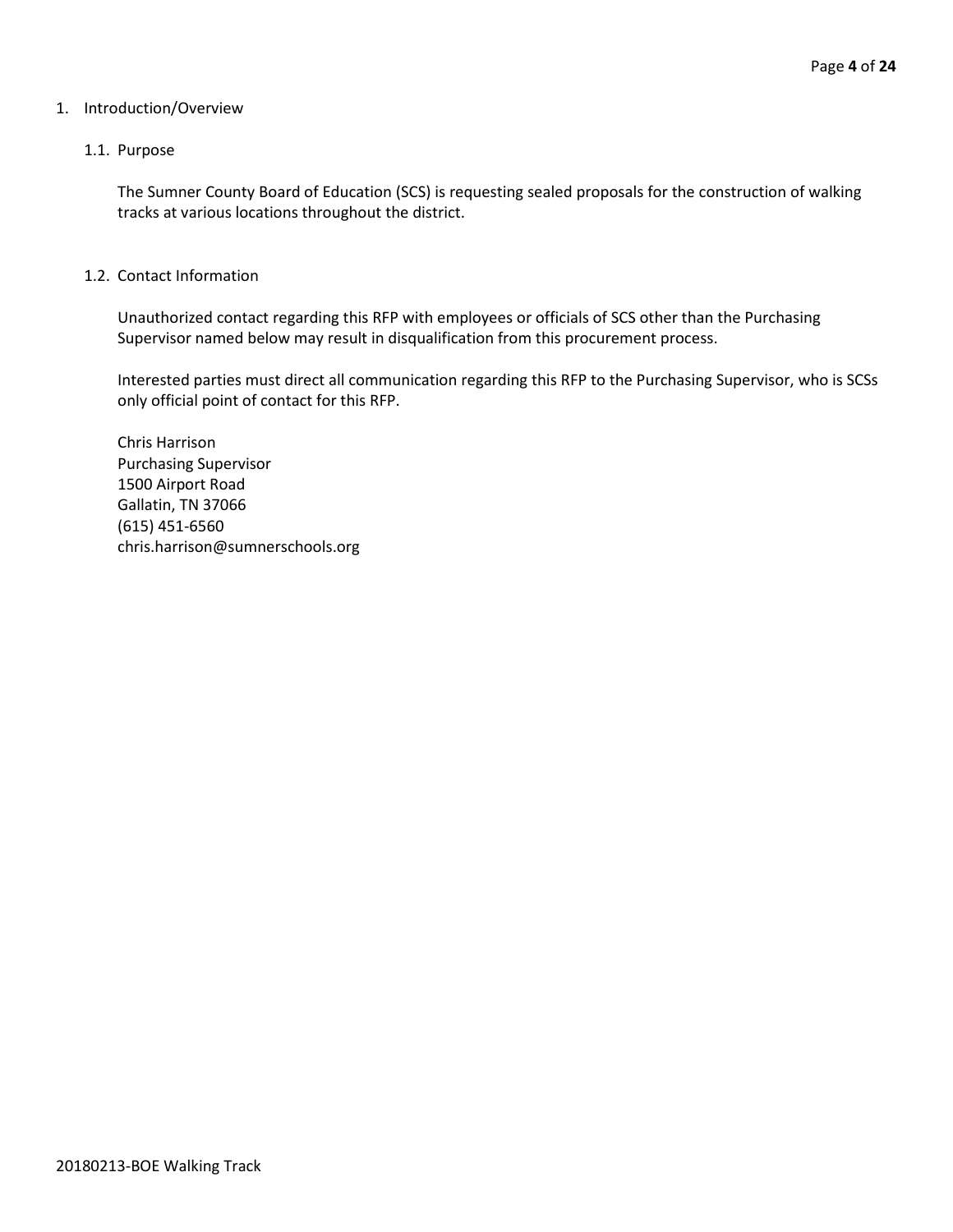#### 1. Introduction/Overview

#### 1.1. Purpose

The Sumner County Board of Education (SCS) is requesting sealed proposals for the construction of walking tracks at various locations throughout the district.

#### 1.2. Contact Information

Unauthorized contact regarding this RFP with employees or officials of SCS other than the Purchasing Supervisor named below may result in disqualification from this procurement process.

Interested parties must direct all communication regarding this RFP to the Purchasing Supervisor, who is SCSs only official point of contact for this RFP.

Chris Harrison Purchasing Supervisor 1500 Airport Road Gallatin, TN 37066 (615) 451-6560 chris.harrison@sumnerschools.org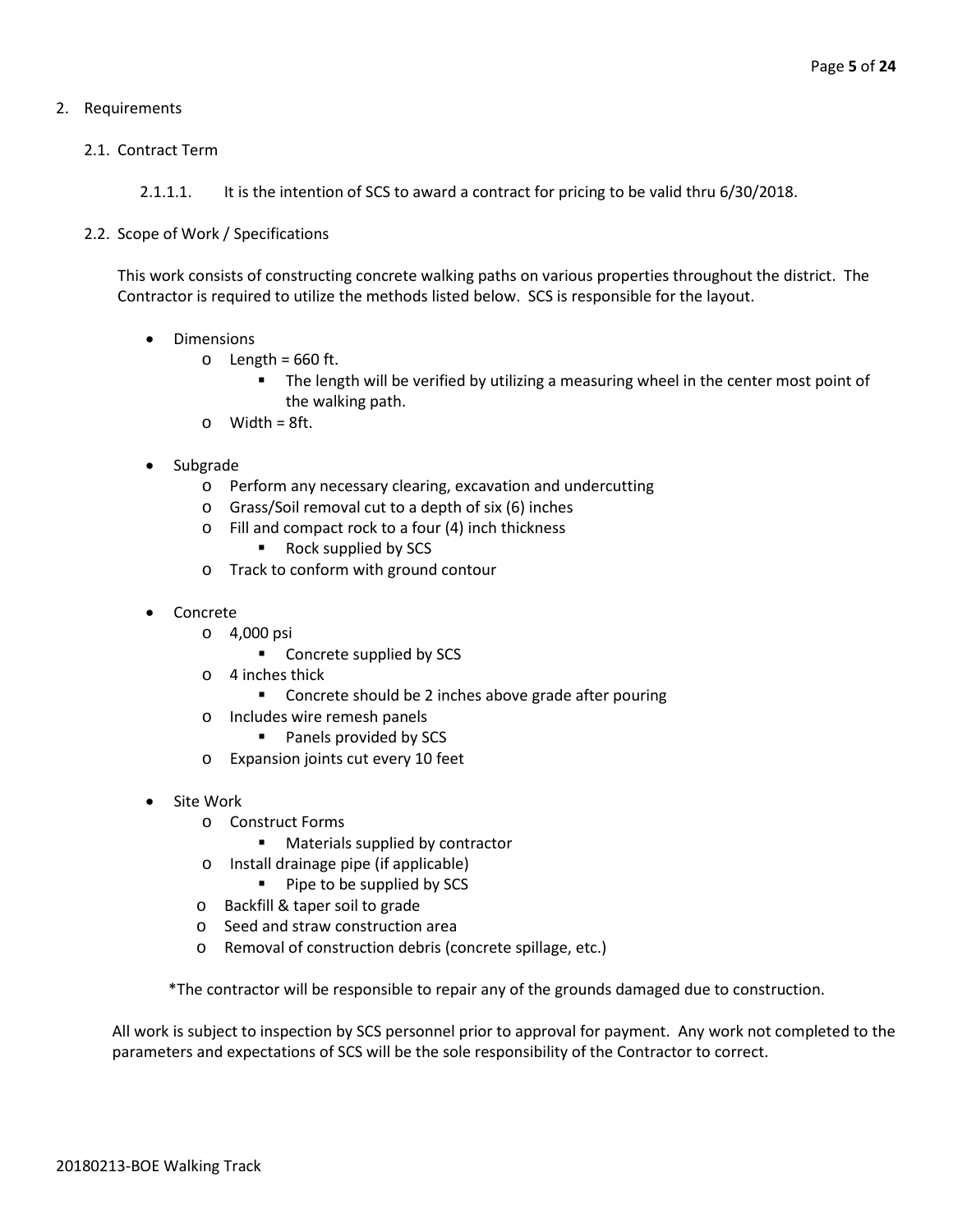# 2. Requirements

## 2.1. Contract Term

2.1.1.1. It is the intention of SCS to award a contract for pricing to be valid thru 6/30/2018.

## 2.2. Scope of Work / Specifications

This work consists of constructing concrete walking paths on various properties throughout the district. The Contractor is required to utilize the methods listed below. SCS is responsible for the layout.

- Dimensions
	- $\circ$  Length = 660 ft.
		- **The length will be verified by utilizing a measuring wheel in the center most point of** the walking path.
	- $\circ$  Width = 8ft.
- Subgrade
	- o Perform any necessary clearing, excavation and undercutting
	- o Grass/Soil removal cut to a depth of six (6) inches
	- o Fill and compact rock to a four (4) inch thickness
		- Rock supplied by SCS
	- o Track to conform with ground contour
- Concrete
	- o 4,000 psi
		- **Concrete supplied by SCS**
	- o 4 inches thick
		- Concrete should be 2 inches above grade after pouring
	- o Includes wire remesh panels
		- **Panels provided by SCS**
	- o Expansion joints cut every 10 feet
- Site Work
	- o Construct Forms
		- **Materials supplied by contractor**
	- o Install drainage pipe (if applicable)
		- **Pipe to be supplied by SCS**
	- o Backfill & taper soil to grade
	- o Seed and straw construction area
	- o Removal of construction debris (concrete spillage, etc.)

\*The contractor will be responsible to repair any of the grounds damaged due to construction.

All work is subject to inspection by SCS personnel prior to approval for payment. Any work not completed to the parameters and expectations of SCS will be the sole responsibility of the Contractor to correct.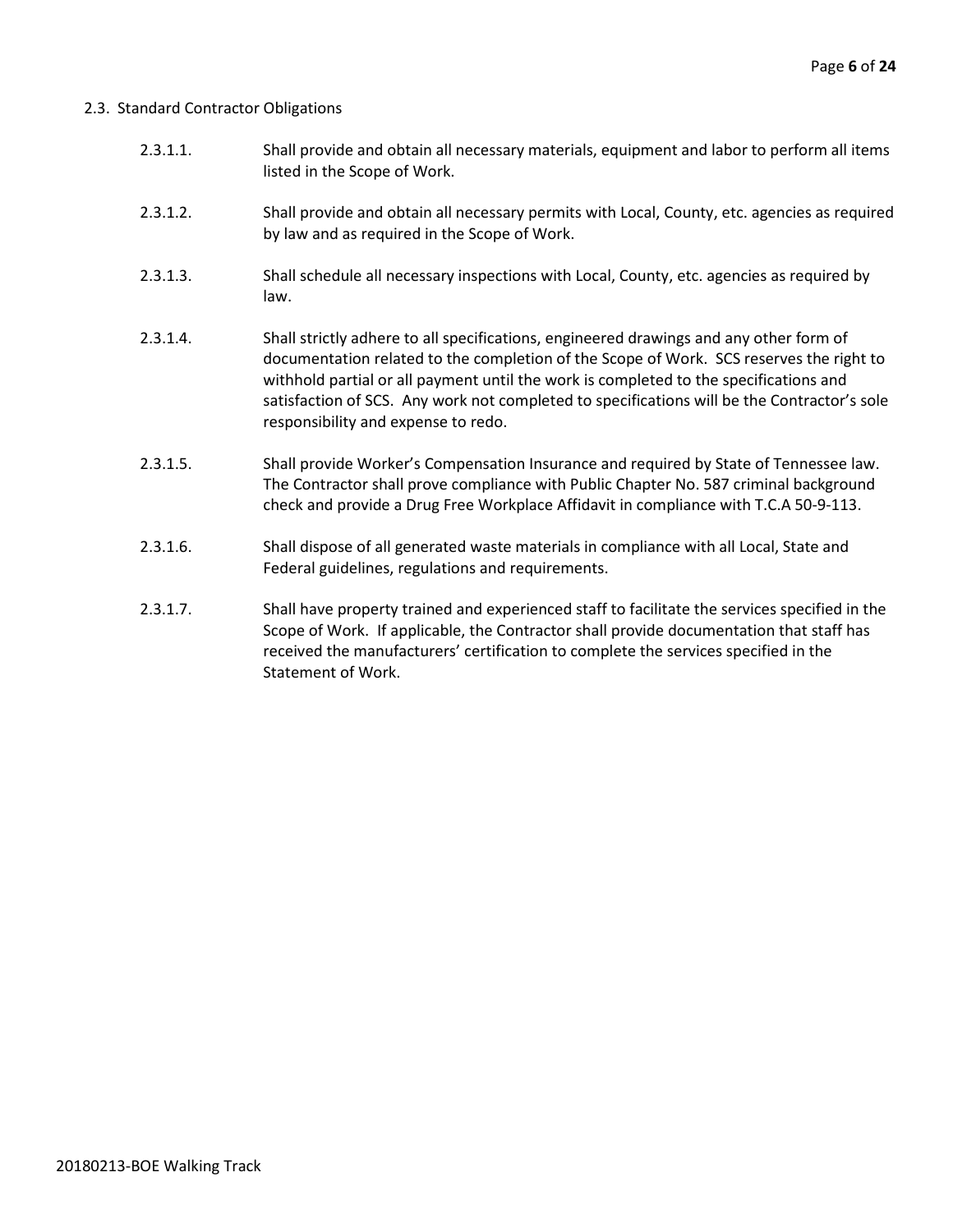#### 2.3. Standard Contractor Obligations

- 2.3.1.1. Shall provide and obtain all necessary materials, equipment and labor to perform all items listed in the Scope of Work.
- 2.3.1.2. Shall provide and obtain all necessary permits with Local, County, etc. agencies as required by law and as required in the Scope of Work.
- 2.3.1.3. Shall schedule all necessary inspections with Local, County, etc. agencies as required by law.
- 2.3.1.4. Shall strictly adhere to all specifications, engineered drawings and any other form of documentation related to the completion of the Scope of Work. SCS reserves the right to withhold partial or all payment until the work is completed to the specifications and satisfaction of SCS. Any work not completed to specifications will be the Contractor's sole responsibility and expense to redo.
- 2.3.1.5. Shall provide Worker's Compensation Insurance and required by State of Tennessee law. The Contractor shall prove compliance with Public Chapter No. 587 criminal background check and provide a Drug Free Workplace Affidavit in compliance with T.C.A 50-9-113.
- 2.3.1.6. Shall dispose of all generated waste materials in compliance with all Local, State and Federal guidelines, regulations and requirements.
- 2.3.1.7. Shall have property trained and experienced staff to facilitate the services specified in the Scope of Work. If applicable, the Contractor shall provide documentation that staff has received the manufacturers' certification to complete the services specified in the Statement of Work.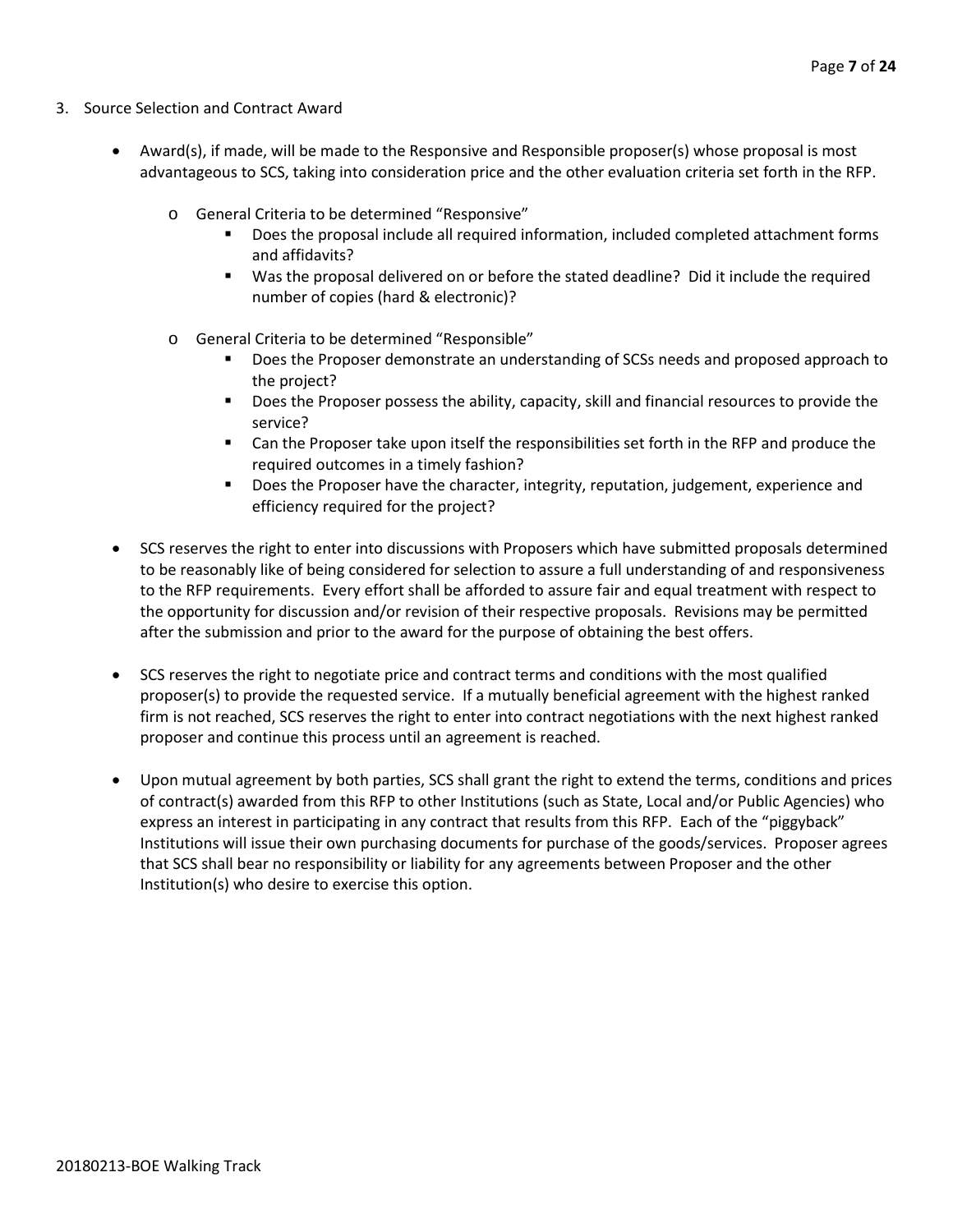- 3. Source Selection and Contract Award
	- Award(s), if made, will be made to the Responsive and Responsible proposer(s) whose proposal is most advantageous to SCS, taking into consideration price and the other evaluation criteria set forth in the RFP.
		- o General Criteria to be determined "Responsive"
			- Does the proposal include all required information, included completed attachment forms and affidavits?
			- Was the proposal delivered on or before the stated deadline? Did it include the required number of copies (hard & electronic)?
		- o General Criteria to be determined "Responsible"
			- Does the Proposer demonstrate an understanding of SCSs needs and proposed approach to the project?
			- **Does the Proposer possess the ability, capacity, skill and financial resources to provide the** service?
			- Can the Proposer take upon itself the responsibilities set forth in the RFP and produce the required outcomes in a timely fashion?
			- **Does the Proposer have the character, integrity, reputation, judgement, experience and** efficiency required for the project?
	- SCS reserves the right to enter into discussions with Proposers which have submitted proposals determined to be reasonably like of being considered for selection to assure a full understanding of and responsiveness to the RFP requirements. Every effort shall be afforded to assure fair and equal treatment with respect to the opportunity for discussion and/or revision of their respective proposals. Revisions may be permitted after the submission and prior to the award for the purpose of obtaining the best offers.
	- SCS reserves the right to negotiate price and contract terms and conditions with the most qualified proposer(s) to provide the requested service. If a mutually beneficial agreement with the highest ranked firm is not reached, SCS reserves the right to enter into contract negotiations with the next highest ranked proposer and continue this process until an agreement is reached.
	- Upon mutual agreement by both parties, SCS shall grant the right to extend the terms, conditions and prices of contract(s) awarded from this RFP to other Institutions (such as State, Local and/or Public Agencies) who express an interest in participating in any contract that results from this RFP. Each of the "piggyback" Institutions will issue their own purchasing documents for purchase of the goods/services. Proposer agrees that SCS shall bear no responsibility or liability for any agreements between Proposer and the other Institution(s) who desire to exercise this option.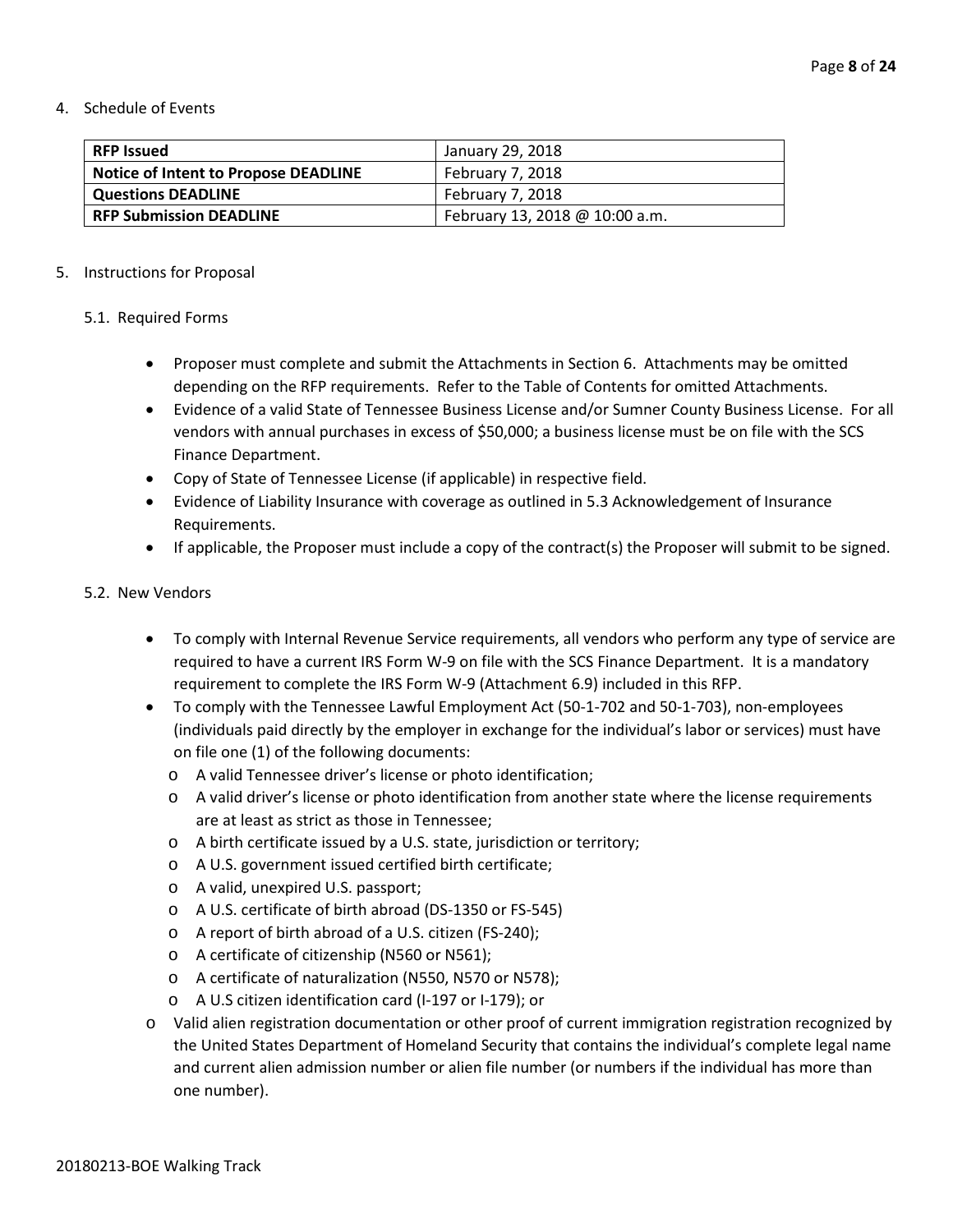4. Schedule of Events

| <b>RFP Issued</b>                           | January 29, 2018               |
|---------------------------------------------|--------------------------------|
| <b>Notice of Intent to Propose DEADLINE</b> | February 7, 2018               |
| <b>Questions DEADLINE</b>                   | February 7, 2018               |
| <b>RFP Submission DEADLINE</b>              | February 13, 2018 @ 10:00 a.m. |

#### 5. Instructions for Proposal

#### 5.1. Required Forms

- Proposer must complete and submit the Attachments in Section 6. Attachments may be omitted depending on the RFP requirements. Refer to the Table of Contents for omitted Attachments.
- Evidence of a valid State of Tennessee Business License and/or Sumner County Business License. For all vendors with annual purchases in excess of \$50,000; a business license must be on file with the SCS Finance Department.
- Copy of State of Tennessee License (if applicable) in respective field.
- Evidence of Liability Insurance with coverage as outlined in 5.3 Acknowledgement of Insurance Requirements.
- If applicable, the Proposer must include a copy of the contract(s) the Proposer will submit to be signed.

#### 5.2. New Vendors

- To comply with Internal Revenue Service requirements, all vendors who perform any type of service are required to have a current IRS Form W-9 on file with the SCS Finance Department. It is a mandatory requirement to complete the IRS Form W-9 (Attachment 6.9) included in this RFP.
- To comply with the Tennessee Lawful Employment Act (50-1-702 and 50-1-703), non-employees (individuals paid directly by the employer in exchange for the individual's labor or services) must have on file one (1) of the following documents:
	- o A valid Tennessee driver's license or photo identification;
	- o A valid driver's license or photo identification from another state where the license requirements are at least as strict as those in Tennessee;
	- o A birth certificate issued by a U.S. state, jurisdiction or territory;
	- o A U.S. government issued certified birth certificate;
	- o A valid, unexpired U.S. passport;
	- o A U.S. certificate of birth abroad (DS-1350 or FS-545)
	- o A report of birth abroad of a U.S. citizen (FS-240);
	- o A certificate of citizenship (N560 or N561);
	- o A certificate of naturalization (N550, N570 or N578);
	- o A U.S citizen identification card (I-197 or I-179); or
- o Valid alien registration documentation or other proof of current immigration registration recognized by the United States Department of Homeland Security that contains the individual's complete legal name and current alien admission number or alien file number (or numbers if the individual has more than one number).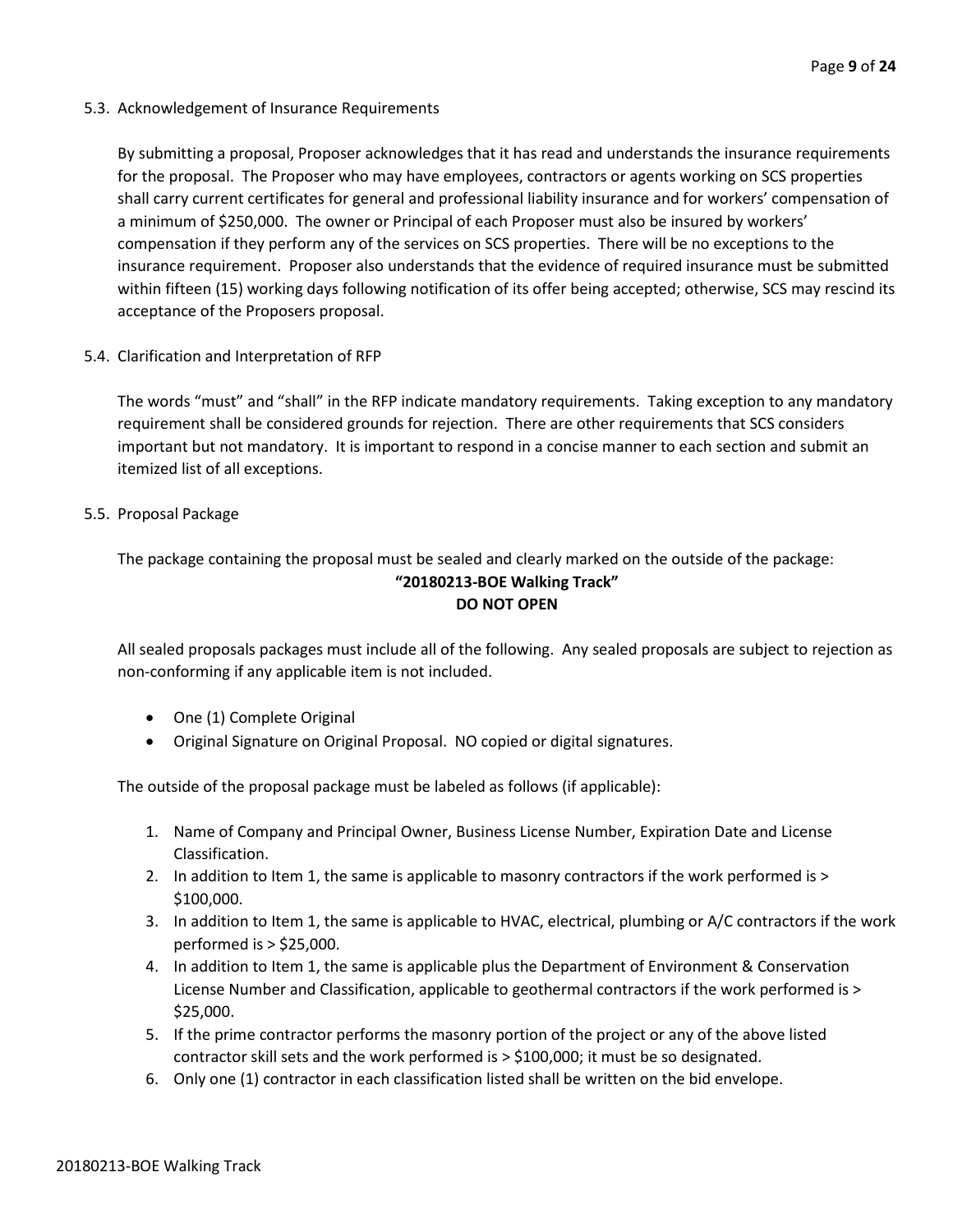5.3. Acknowledgement of Insurance Requirements

By submitting a proposal, Proposer acknowledges that it has read and understands the insurance requirements for the proposal. The Proposer who may have employees, contractors or agents working on SCS properties shall carry current certificates for general and professional liability insurance and for workers' compensation of a minimum of \$250,000. The owner or Principal of each Proposer must also be insured by workers' compensation if they perform any of the services on SCS properties. There will be no exceptions to the insurance requirement. Proposer also understands that the evidence of required insurance must be submitted within fifteen (15) working days following notification of its offer being accepted; otherwise, SCS may rescind its acceptance of the Proposers proposal.

5.4. Clarification and Interpretation of RFP

The words "must" and "shall" in the RFP indicate mandatory requirements. Taking exception to any mandatory requirement shall be considered grounds for rejection. There are other requirements that SCS considers important but not mandatory. It is important to respond in a concise manner to each section and submit an itemized list of all exceptions.

5.5. Proposal Package

The package containing the proposal must be sealed and clearly marked on the outside of the package: **"20180213-BOE Walking Track" DO NOT OPEN**

All sealed proposals packages must include all of the following. Any sealed proposals are subject to rejection as non-conforming if any applicable item is not included.

- One (1) Complete Original
- Original Signature on Original Proposal. NO copied or digital signatures.

The outside of the proposal package must be labeled as follows (if applicable):

- 1. Name of Company and Principal Owner, Business License Number, Expiration Date and License Classification.
- 2. In addition to Item 1, the same is applicable to masonry contractors if the work performed is > \$100,000.
- 3. In addition to Item 1, the same is applicable to HVAC, electrical, plumbing or A/C contractors if the work performed is > \$25,000.
- 4. In addition to Item 1, the same is applicable plus the Department of Environment & Conservation License Number and Classification, applicable to geothermal contractors if the work performed is > \$25,000.
- 5. If the prime contractor performs the masonry portion of the project or any of the above listed contractor skill sets and the work performed is > \$100,000; it must be so designated.
- 6. Only one (1) contractor in each classification listed shall be written on the bid envelope.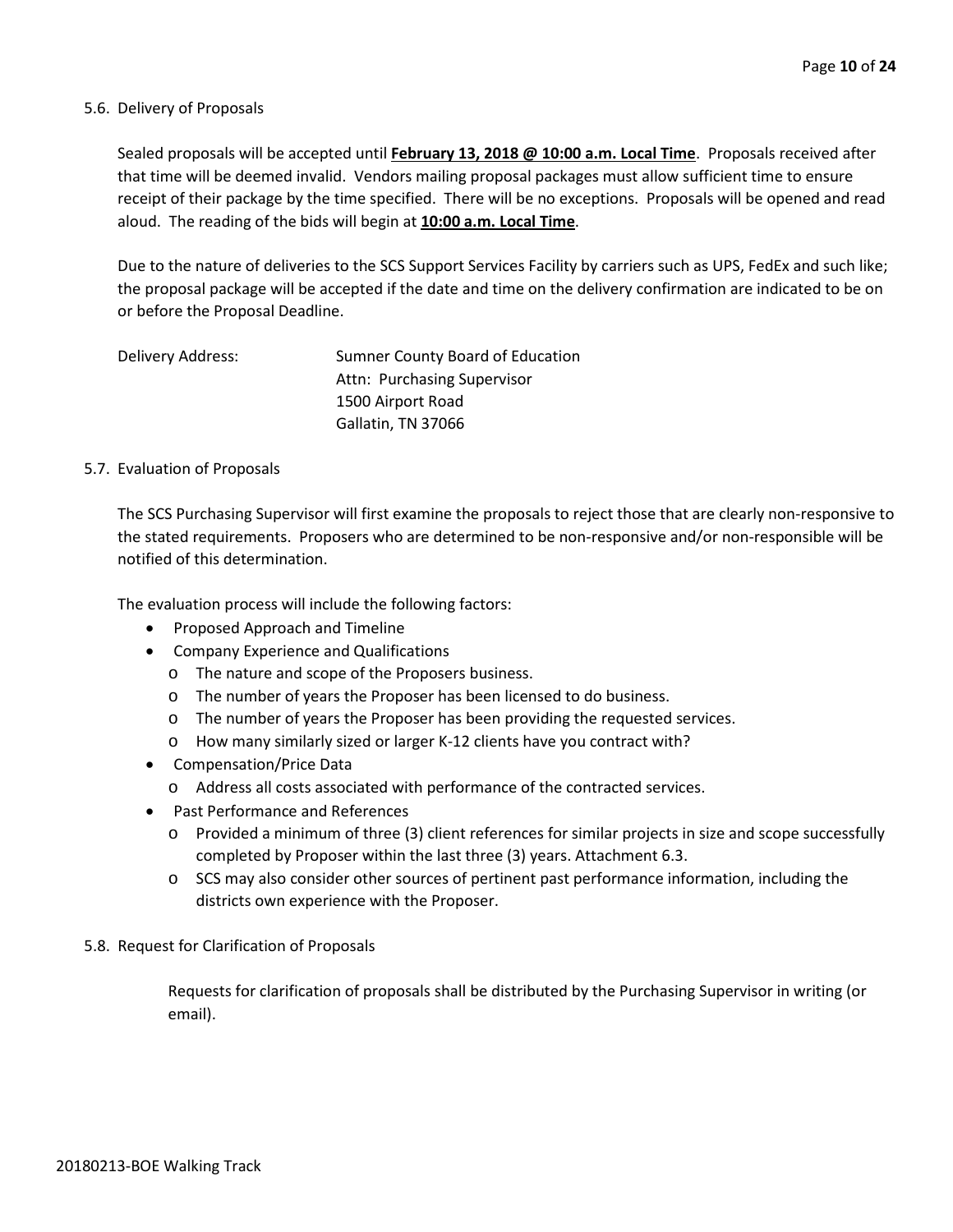#### 5.6. Delivery of Proposals

Sealed proposals will be accepted until **February 13, 2018 @ 10:00 a.m. Local Time**. Proposals received after that time will be deemed invalid. Vendors mailing proposal packages must allow sufficient time to ensure receipt of their package by the time specified. There will be no exceptions. Proposals will be opened and read aloud. The reading of the bids will begin at **10:00 a.m. Local Time**.

Due to the nature of deliveries to the SCS Support Services Facility by carriers such as UPS, FedEx and such like; the proposal package will be accepted if the date and time on the delivery confirmation are indicated to be on or before the Proposal Deadline.

| Delivery Address: | Sumner County Board of Education |
|-------------------|----------------------------------|
|                   | Attn: Purchasing Supervisor      |
|                   | 1500 Airport Road                |
|                   | Gallatin, TN 37066               |

#### 5.7. Evaluation of Proposals

The SCS Purchasing Supervisor will first examine the proposals to reject those that are clearly non-responsive to the stated requirements. Proposers who are determined to be non-responsive and/or non-responsible will be notified of this determination.

The evaluation process will include the following factors:

- Proposed Approach and Timeline
- Company Experience and Qualifications
	- o The nature and scope of the Proposers business.
	- o The number of years the Proposer has been licensed to do business.
	- o The number of years the Proposer has been providing the requested services.
	- o How many similarly sized or larger K-12 clients have you contract with?
- Compensation/Price Data
	- o Address all costs associated with performance of the contracted services.
- Past Performance and References
	- o Provided a minimum of three (3) client references for similar projects in size and scope successfully completed by Proposer within the last three (3) years. Attachment 6.3.
	- o SCS may also consider other sources of pertinent past performance information, including the districts own experience with the Proposer.
- 5.8. Request for Clarification of Proposals

Requests for clarification of proposals shall be distributed by the Purchasing Supervisor in writing (or email).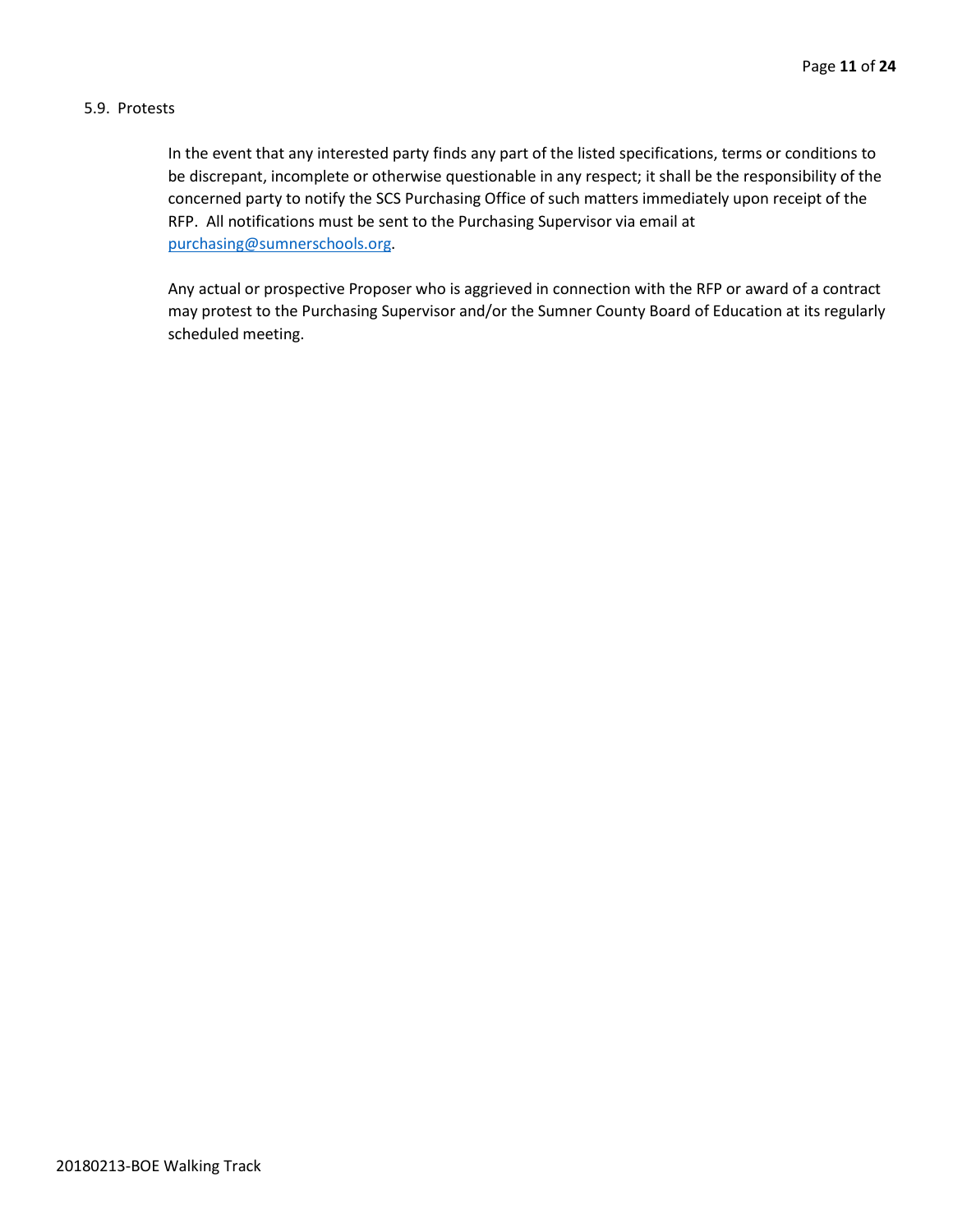#### 5.9. Protests

In the event that any interested party finds any part of the listed specifications, terms or conditions to be discrepant, incomplete or otherwise questionable in any respect; it shall be the responsibility of the concerned party to notify the SCS Purchasing Office of such matters immediately upon receipt of the RFP. All notifications must be sent to the Purchasing Supervisor via email at [purchasing@sumnerschools.org.](mailto:purchasing@sumnerschools.org)

Any actual or prospective Proposer who is aggrieved in connection with the RFP or award of a contract may protest to the Purchasing Supervisor and/or the Sumner County Board of Education at its regularly scheduled meeting.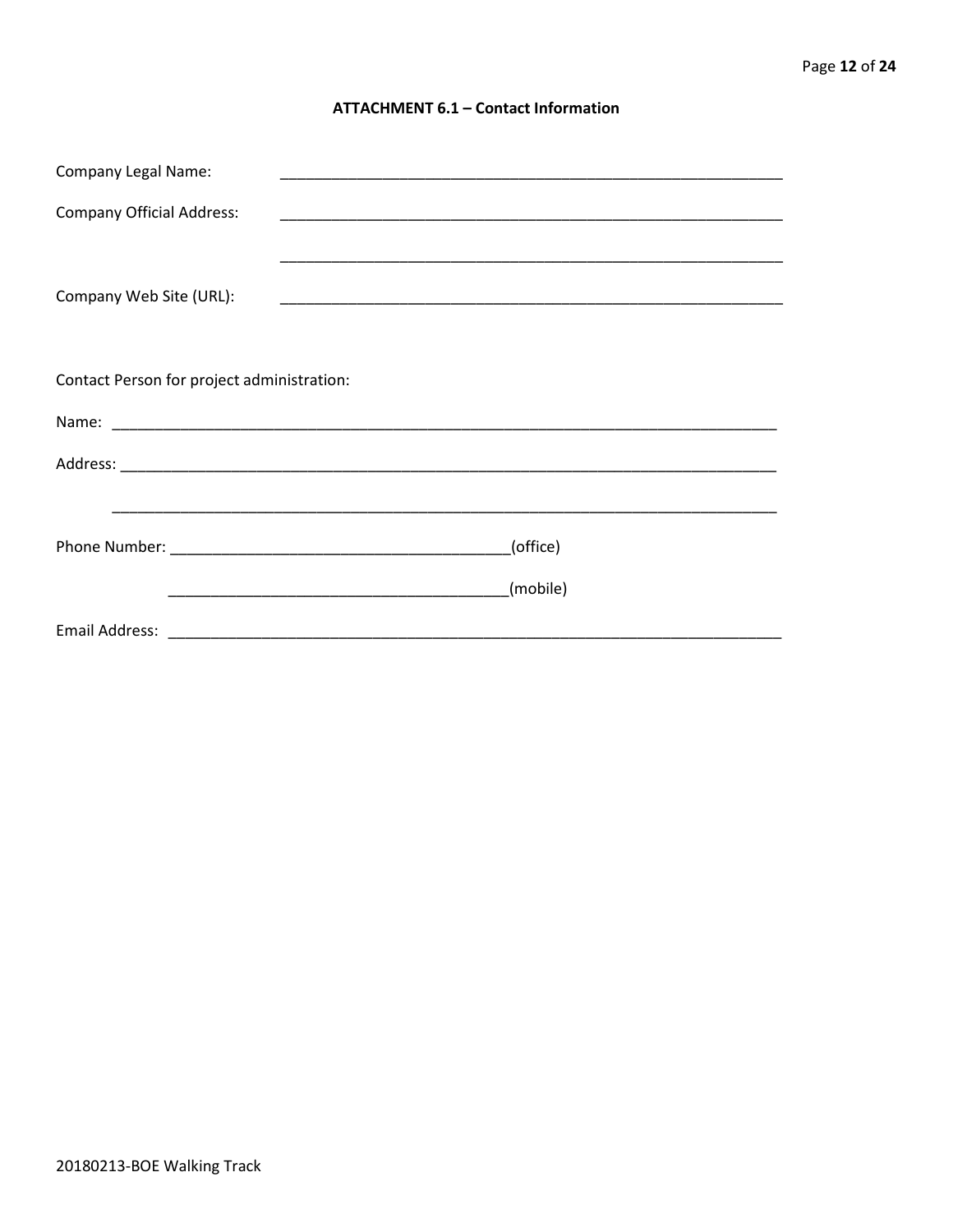#### **ATTACHMENT 6.1 - Contact Information**

| <b>Company Legal Name:</b>                 |          |
|--------------------------------------------|----------|
| <b>Company Official Address:</b>           |          |
|                                            |          |
| Company Web Site (URL):                    |          |
|                                            |          |
| Contact Person for project administration: |          |
|                                            |          |
|                                            |          |
|                                            |          |
|                                            | (office) |
|                                            | (mobile) |
|                                            |          |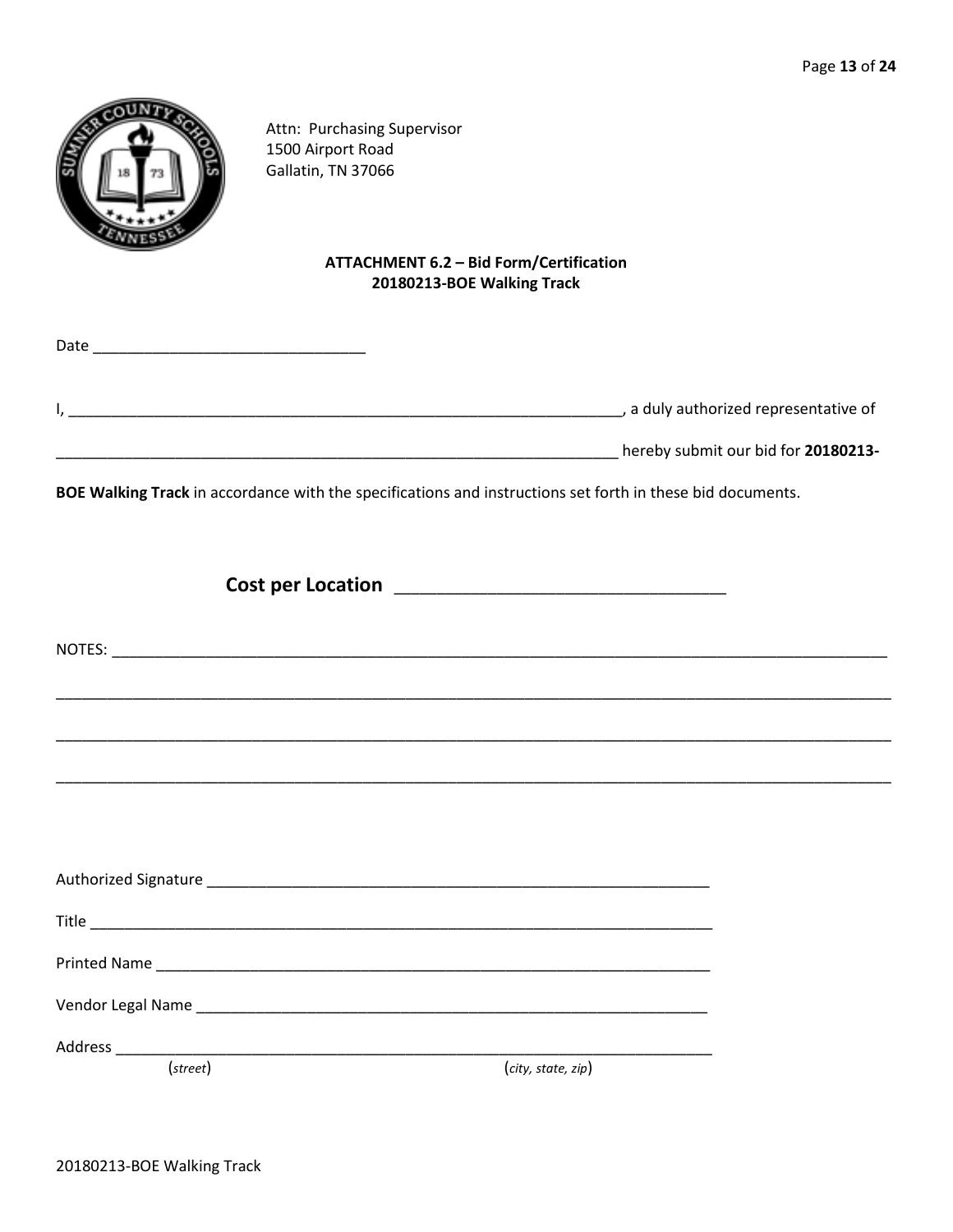

Attn: Purchasing Supervisor 1500 Airport Road Gallatin, TN 37066

# **ATTACHMENT 6.2 - Bid Form/Certification** 20180213-BOE Walking Track

| Date |                                       |
|------|---------------------------------------|
|      | , a duly authorized representative of |
|      | hereby submit our bid for 20180213-   |

BOE Walking Track in accordance with the specifications and instructions set forth in these bid documents.

| $(\text{street})$ | (city, state, zip) |  |
|-------------------|--------------------|--|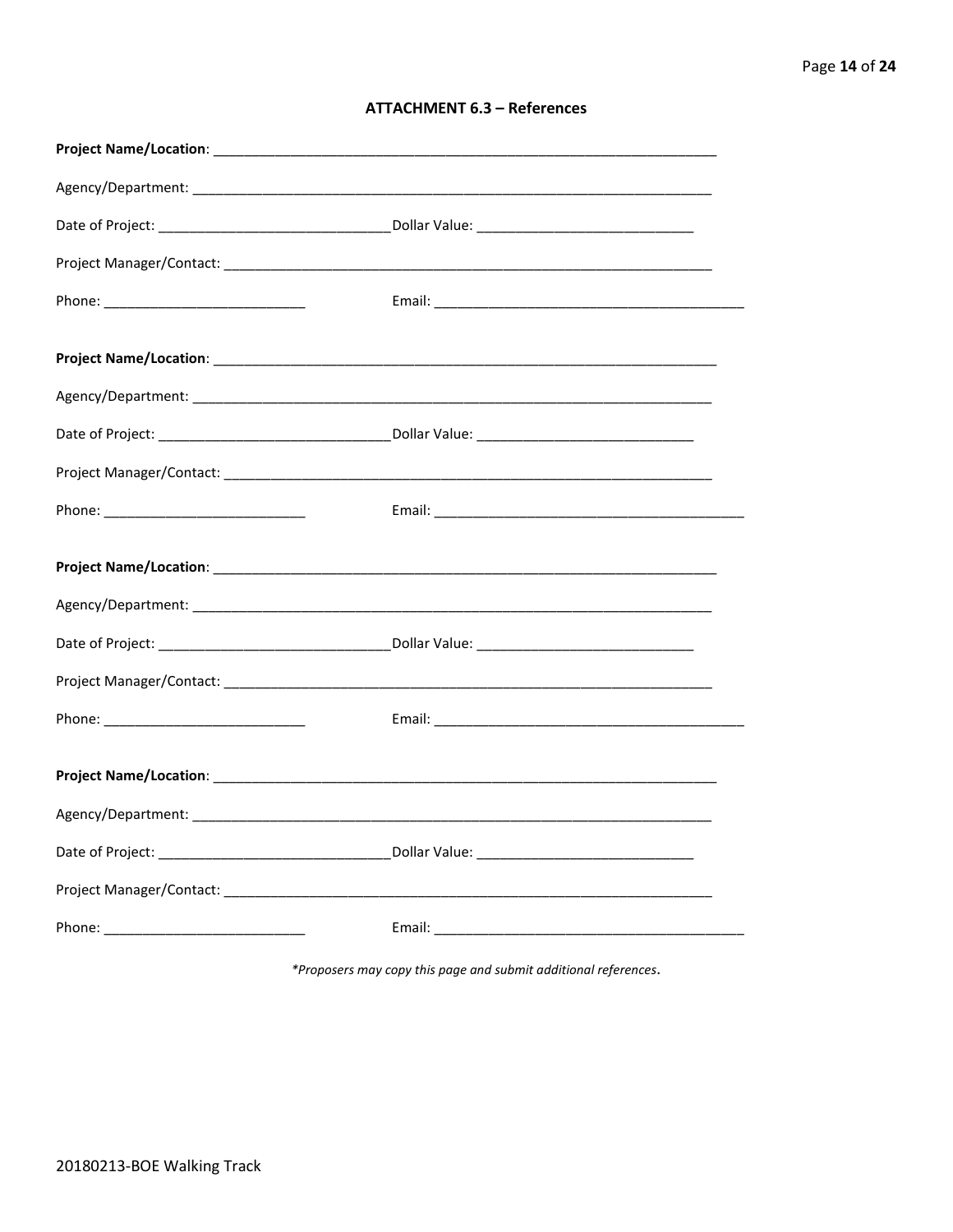| <b>ATTACHMENT 6.3 - References</b> |  |  |
|------------------------------------|--|--|
|------------------------------------|--|--|

\*Proposers may copy this page and submit additional references.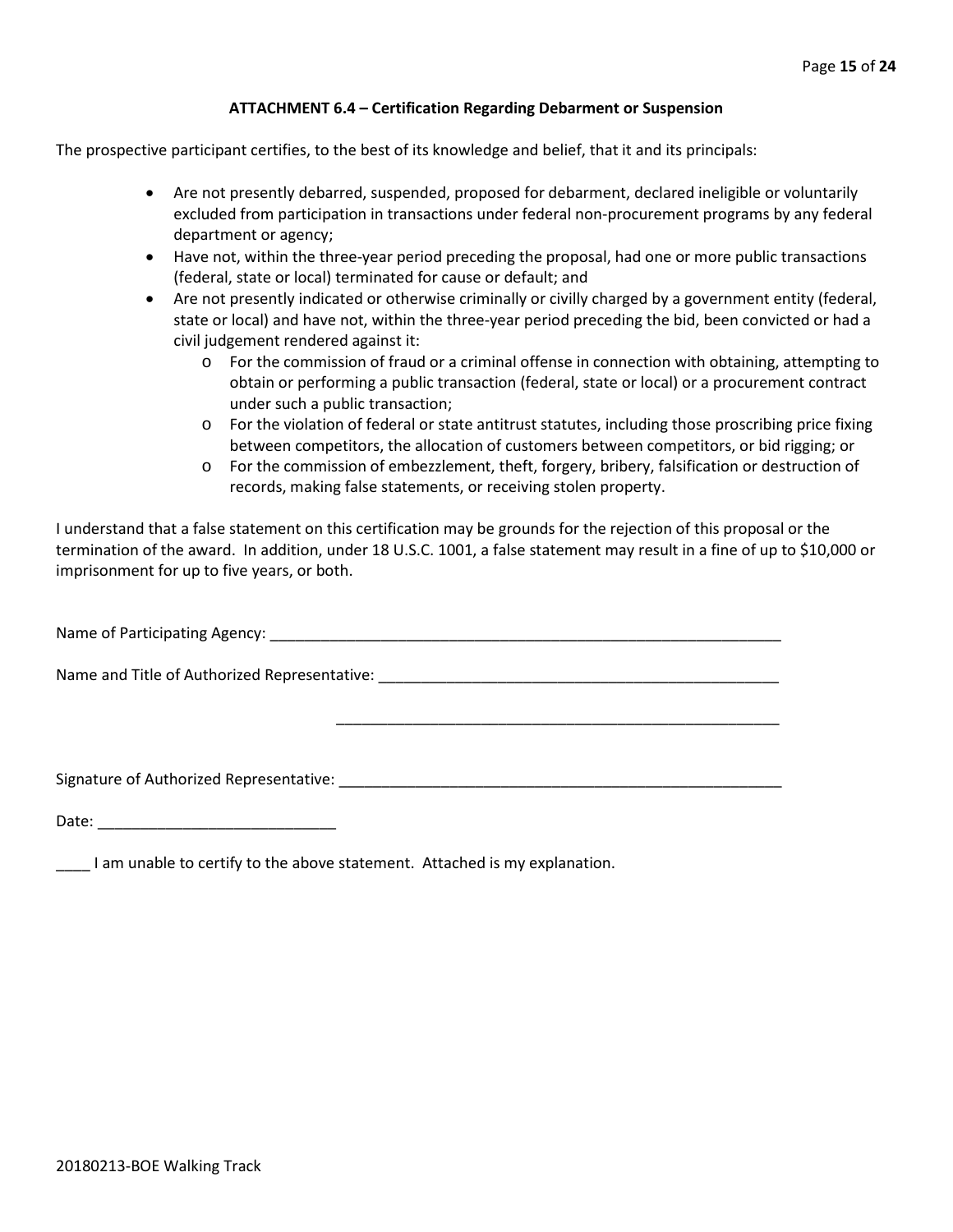#### **ATTACHMENT 6.4 – Certification Regarding Debarment or Suspension**

The prospective participant certifies, to the best of its knowledge and belief, that it and its principals:

- Are not presently debarred, suspended, proposed for debarment, declared ineligible or voluntarily excluded from participation in transactions under federal non-procurement programs by any federal department or agency;
- Have not, within the three-year period preceding the proposal, had one or more public transactions (federal, state or local) terminated for cause or default; and
- Are not presently indicated or otherwise criminally or civilly charged by a government entity (federal, state or local) and have not, within the three-year period preceding the bid, been convicted or had a civil judgement rendered against it:
	- $\circ$  For the commission of fraud or a criminal offense in connection with obtaining, attempting to obtain or performing a public transaction (federal, state or local) or a procurement contract under such a public transaction;
	- o For the violation of federal or state antitrust statutes, including those proscribing price fixing between competitors, the allocation of customers between competitors, or bid rigging; or
	- o For the commission of embezzlement, theft, forgery, bribery, falsification or destruction of records, making false statements, or receiving stolen property.

\_\_\_\_\_\_\_\_\_\_\_\_\_\_\_\_\_\_\_\_\_\_\_\_\_\_\_\_\_\_\_\_\_\_\_\_\_\_\_\_\_\_\_\_\_\_\_\_\_\_\_\_

I understand that a false statement on this certification may be grounds for the rejection of this proposal or the termination of the award. In addition, under 18 U.S.C. 1001, a false statement may result in a fine of up to \$10,000 or imprisonment for up to five years, or both.

Name of Participating Agency: \_\_\_\_\_\_\_\_\_\_\_\_\_\_\_\_\_\_\_\_\_\_\_\_\_\_\_\_\_\_\_\_\_\_\_\_\_\_\_\_\_\_\_\_\_\_\_\_\_\_\_\_\_\_\_\_\_\_\_\_

Name and Title of Authorized Representative: \_\_\_\_\_\_\_\_\_\_\_\_\_\_\_\_\_\_\_\_\_\_\_\_\_\_\_\_\_\_\_\_\_\_\_\_\_\_\_\_\_\_\_\_\_\_\_

Signature of Authorized Representative: \_\_\_\_\_\_\_\_\_\_\_\_\_\_\_\_\_\_\_\_\_\_\_\_\_\_\_\_\_\_\_\_\_\_\_\_\_\_\_\_\_\_\_\_\_\_\_\_\_\_\_\_

Date: \_\_\_\_\_\_\_\_\_\_\_\_\_\_\_\_\_\_\_\_\_\_\_\_\_\_\_\_

\_\_\_\_ I am unable to certify to the above statement. Attached is my explanation.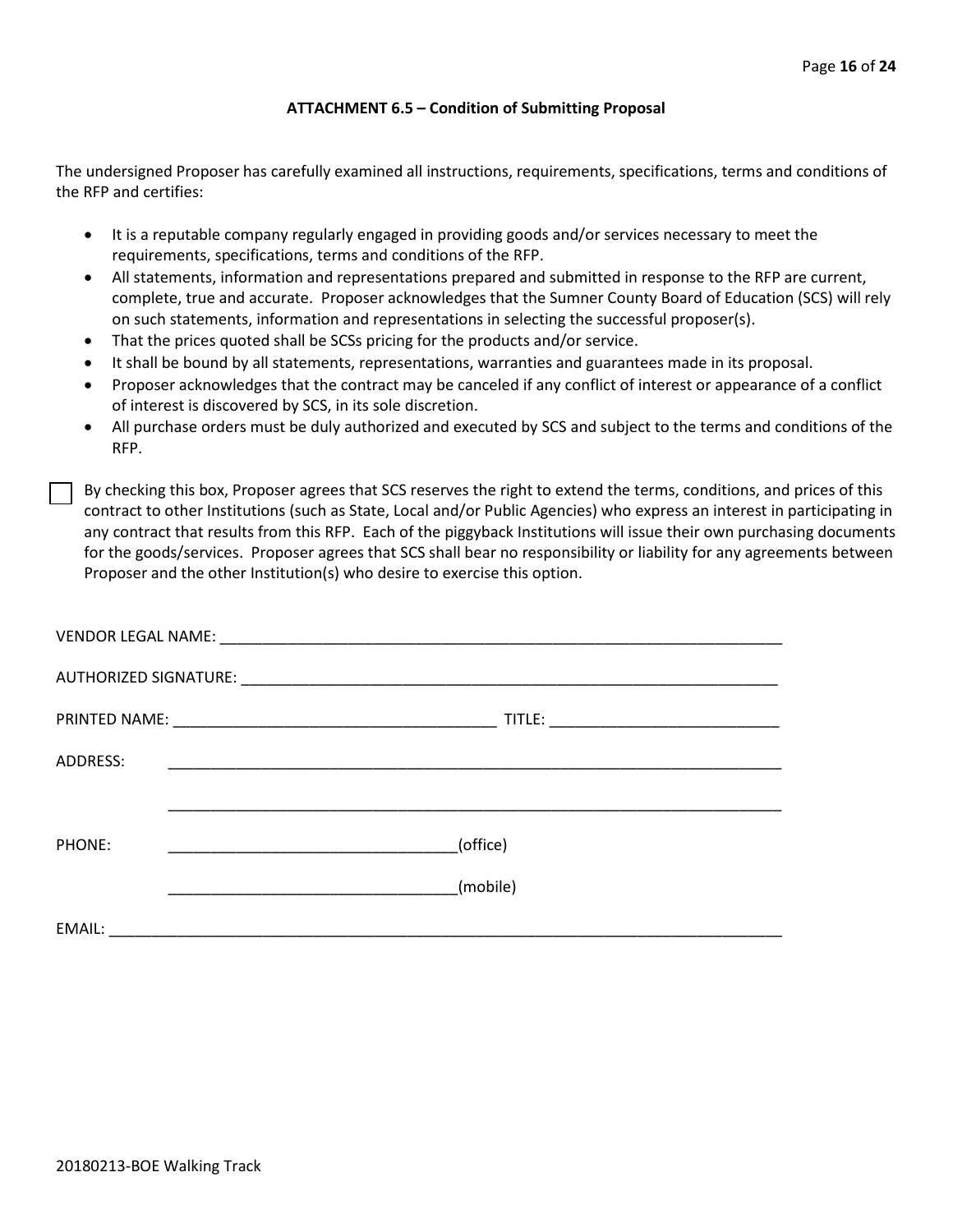#### **ATTACHMENT 6.5 – Condition of Submitting Proposal**

The undersigned Proposer has carefully examined all instructions, requirements, specifications, terms and conditions of the RFP and certifies:

- It is a reputable company regularly engaged in providing goods and/or services necessary to meet the requirements, specifications, terms and conditions of the RFP.
- All statements, information and representations prepared and submitted in response to the RFP are current, complete, true and accurate. Proposer acknowledges that the Sumner County Board of Education (SCS) will rely on such statements, information and representations in selecting the successful proposer(s).
- That the prices quoted shall be SCSs pricing for the products and/or service.
- It shall be bound by all statements, representations, warranties and guarantees made in its proposal.
- Proposer acknowledges that the contract may be canceled if any conflict of interest or appearance of a conflict of interest is discovered by SCS, in its sole discretion.
- All purchase orders must be duly authorized and executed by SCS and subject to the terms and conditions of the RFP.

By checking this box, Proposer agrees that SCS reserves the right to extend the terms, conditions, and prices of this contract to other Institutions (such as State, Local and/or Public Agencies) who express an interest in participating in any contract that results from this RFP. Each of the piggyback Institutions will issue their own purchasing documents for the goods/services. Proposer agrees that SCS shall bear no responsibility or liability for any agreements between Proposer and the other Institution(s) who desire to exercise this option.

| ADDRESS: | <u> 1999 - Johann John Stein, mars and de British and de British and de British and de British and de British an</u> |  |
|----------|----------------------------------------------------------------------------------------------------------------------|--|
|          |                                                                                                                      |  |
| PHONE:   | (office)                                                                                                             |  |
|          | (mobile)                                                                                                             |  |
| EMAIL:   |                                                                                                                      |  |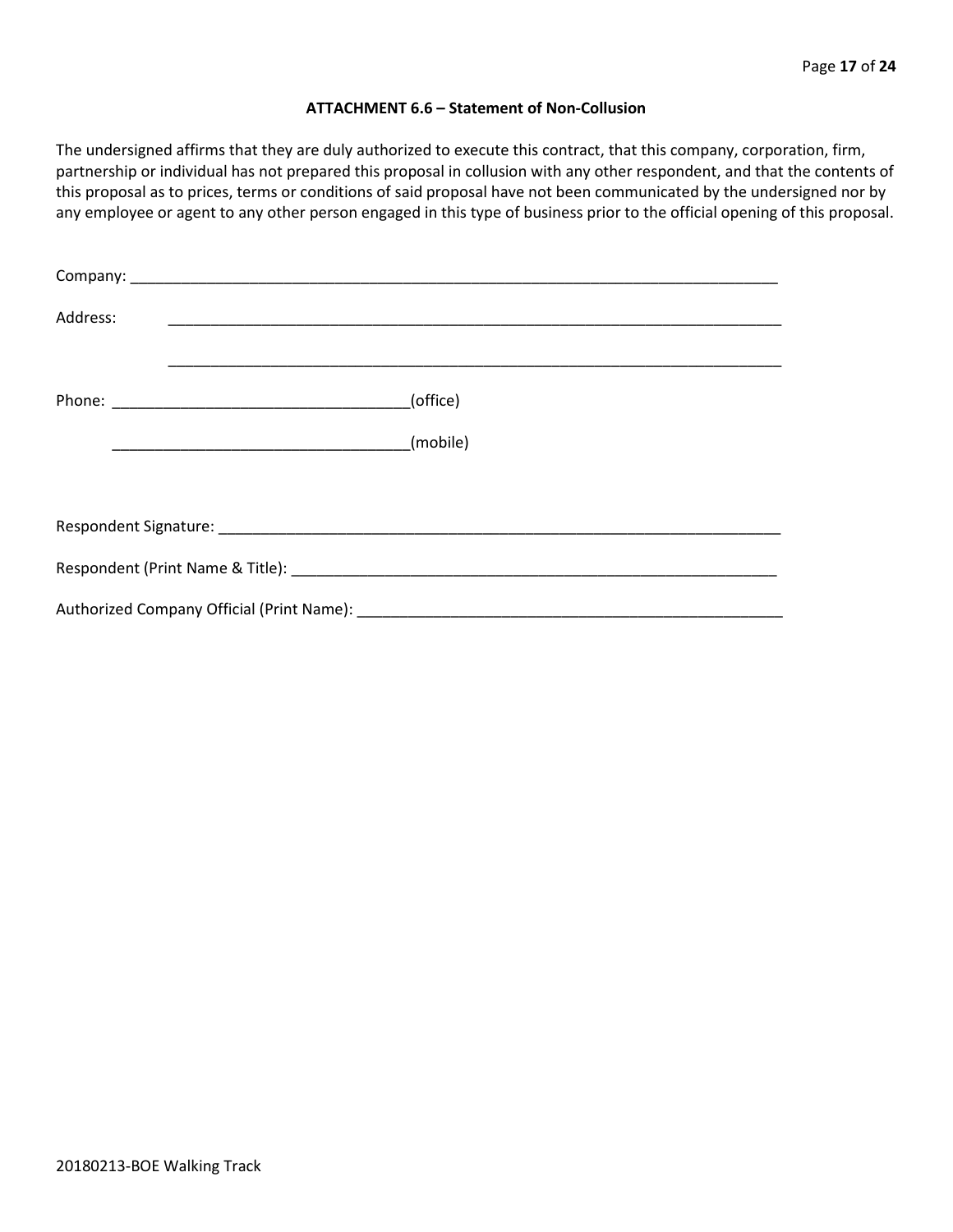#### **ATTACHMENT 6.6 – Statement of Non-Collusion**

The undersigned affirms that they are duly authorized to execute this contract, that this company, corporation, firm, partnership or individual has not prepared this proposal in collusion with any other respondent, and that the contents of this proposal as to prices, terms or conditions of said proposal have not been communicated by the undersigned nor by any employee or agent to any other person engaged in this type of business prior to the official opening of this proposal.

| Address: |          |  |  |
|----------|----------|--|--|
|          | (office) |  |  |
|          |          |  |  |
|          |          |  |  |
|          |          |  |  |
|          |          |  |  |
|          |          |  |  |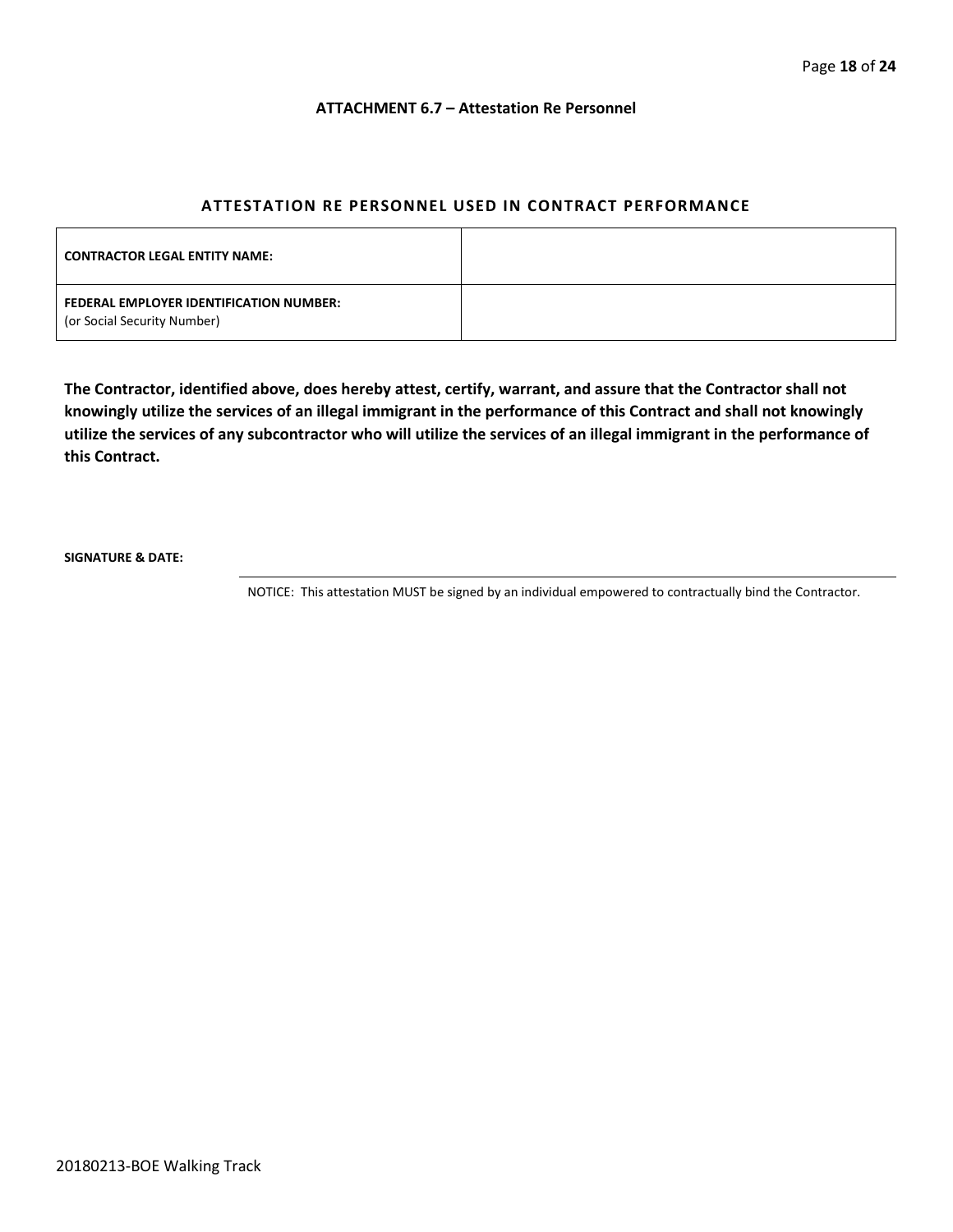#### **ATTACHMENT 6.7 – Attestation Re Personnel**

## **ATTESTATION RE PERSONNEL USED IN CONTRACT PERFORMANCE**

| <b>CONTRACTOR LEGAL ENTITY NAME:</b>                                   |  |
|------------------------------------------------------------------------|--|
| FEDERAL EMPLOYER IDENTIFICATION NUMBER:<br>(or Social Security Number) |  |

**The Contractor, identified above, does hereby attest, certify, warrant, and assure that the Contractor shall not knowingly utilize the services of an illegal immigrant in the performance of this Contract and shall not knowingly utilize the services of any subcontractor who will utilize the services of an illegal immigrant in the performance of this Contract.**

**SIGNATURE & DATE:**

NOTICE: This attestation MUST be signed by an individual empowered to contractually bind the Contractor.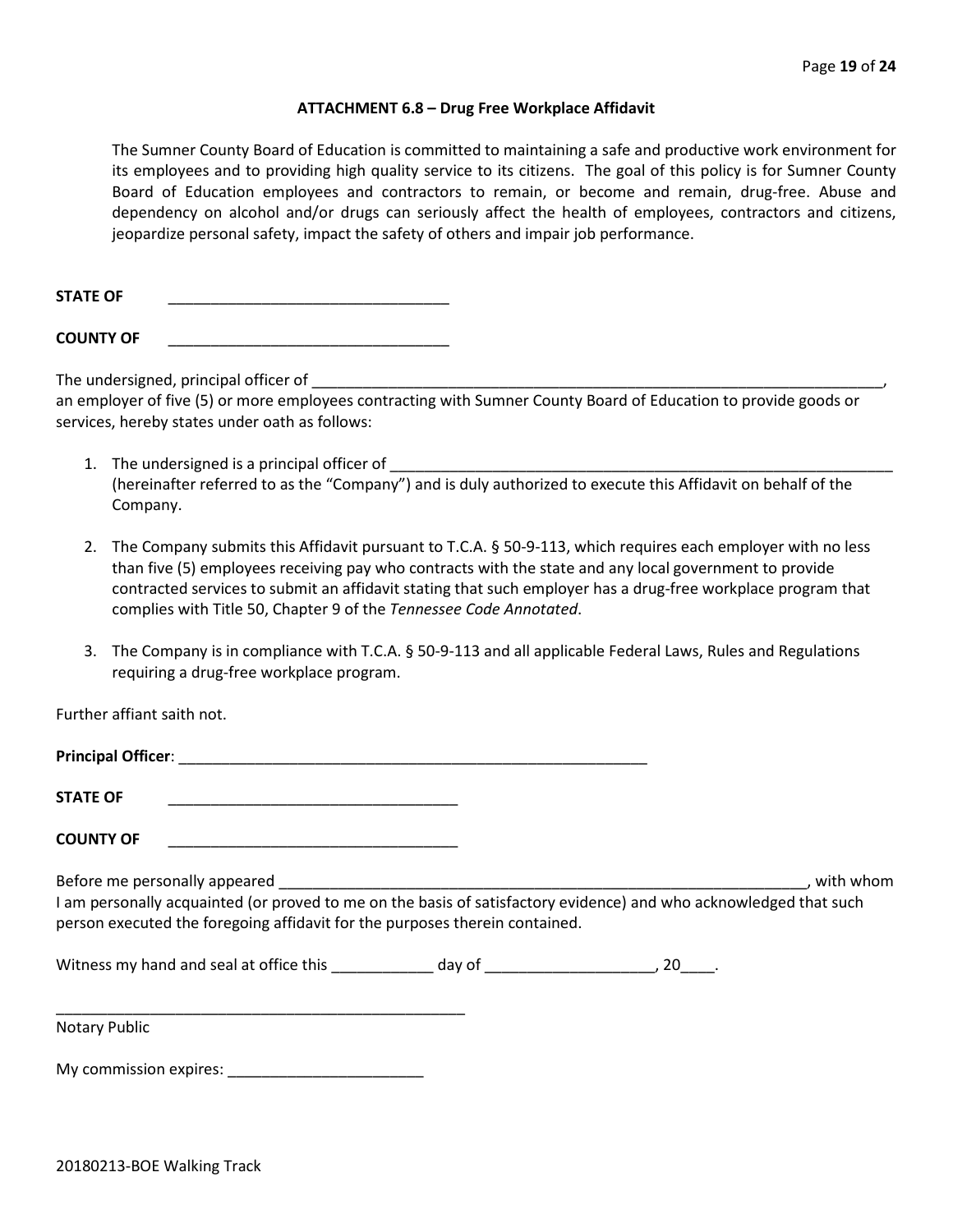#### **ATTACHMENT 6.8 – Drug Free Workplace Affidavit**

The Sumner County Board of Education is committed to maintaining a safe and productive work environment for its employees and to providing high quality service to its citizens. The goal of this policy is for Sumner County Board of Education employees and contractors to remain, or become and remain, drug-free. Abuse and dependency on alcohol and/or drugs can seriously affect the health of employees, contractors and citizens, jeopardize personal safety, impact the safety of others and impair job performance.

STATE OF

**COUNTY OF** \_\_\_\_\_\_\_\_\_\_\_\_\_\_\_\_\_\_\_\_\_\_\_\_\_\_\_\_\_\_\_\_\_

The undersigned, principal officer of

an employer of five (5) or more employees contracting with Sumner County Board of Education to provide goods or services, hereby states under oath as follows:

- 1. The undersigned is a principal officer of (hereinafter referred to as the "Company") and is duly authorized to execute this Affidavit on behalf of the Company.
- 2. The Company submits this Affidavit pursuant to T.C.A. § 50-9-113, which requires each employer with no less than five (5) employees receiving pay who contracts with the state and any local government to provide contracted services to submit an affidavit stating that such employer has a drug-free workplace program that complies with Title 50, Chapter 9 of the *Tennessee Code Annotated*.
- 3. The Company is in compliance with T.C.A. § 50-9-113 and all applicable Federal Laws, Rules and Regulations requiring a drug-free workplace program.

Further affiant saith not.

| <b>STATE OF</b>                                                                                                                                                                                                                   |  |           |
|-----------------------------------------------------------------------------------------------------------------------------------------------------------------------------------------------------------------------------------|--|-----------|
| <b>COUNTY OF</b>                                                                                                                                                                                                                  |  |           |
| Before me personally appeared<br>I am personally acquainted (or proved to me on the basis of satisfactory evidence) and who acknowledged that such<br>person executed the foregoing affidavit for the purposes therein contained. |  | with whom |
| Vitness my hand and seal at office this by the day of the case of the control of the control of the control of the control of the control of the control of the control of the control of the control of the control of the co    |  |           |
| Notary Public                                                                                                                                                                                                                     |  |           |

My commission expires: \_\_\_\_\_\_\_\_\_\_\_\_\_\_\_\_\_\_\_\_\_\_\_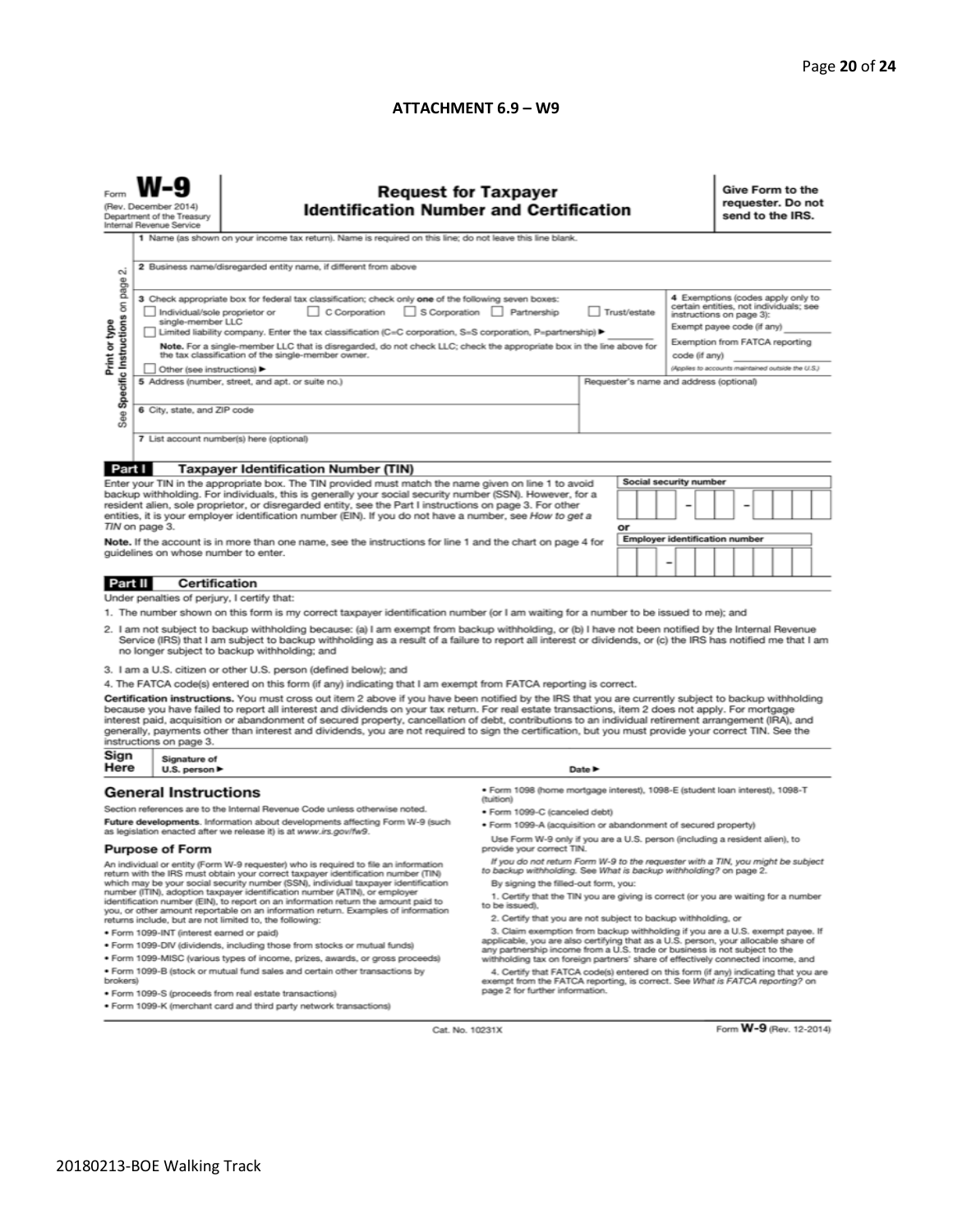#### **ATTACHMENT 6.9 - W9**

| (Rev. December 2014)<br>Department of the Treasury<br>Internal Revenue Service                                                                                                                                                                                                                                                                                                                                                                                                                                                                                                                                                                           |                                                                                                                                                                                                          | <b>Request for Taxpayer</b><br><b>Identification Number and Certification</b><br>1 Name (as shown on your income tax return). Name is required on this line; do not leave this line blank.                                           |                                                                                                                                                                                                                                                        |                                                                                                      |                               | Give Form to the<br>requester. Do not<br>send to the IRS.                                                                             |  |  |
|----------------------------------------------------------------------------------------------------------------------------------------------------------------------------------------------------------------------------------------------------------------------------------------------------------------------------------------------------------------------------------------------------------------------------------------------------------------------------------------------------------------------------------------------------------------------------------------------------------------------------------------------------------|----------------------------------------------------------------------------------------------------------------------------------------------------------------------------------------------------------|--------------------------------------------------------------------------------------------------------------------------------------------------------------------------------------------------------------------------------------|--------------------------------------------------------------------------------------------------------------------------------------------------------------------------------------------------------------------------------------------------------|------------------------------------------------------------------------------------------------------|-------------------------------|---------------------------------------------------------------------------------------------------------------------------------------|--|--|
| $\sim$                                                                                                                                                                                                                                                                                                                                                                                                                                                                                                                                                                                                                                                   | 2 Business name/disregarded entity name, if different from above                                                                                                                                         |                                                                                                                                                                                                                                      |                                                                                                                                                                                                                                                        |                                                                                                      |                               |                                                                                                                                       |  |  |
| Specific Instructions on page<br>Print or type                                                                                                                                                                                                                                                                                                                                                                                                                                                                                                                                                                                                           | Individual/sole proprietor or<br>single-member LLC                                                                                                                                                       | 3 Check appropriate box for federal tax classification; check only one of the following seven boxes:<br>C Corporation<br>Limited liability company. Enter the tax classification (C=C corporation, S=S corporation, P=partnership) ▶ | S Corporation Partnership<br>Trust/estate                                                                                                                                                                                                              |                                                                                                      |                               | 4 Exemptions (codes apply only to<br>certain entities, not individuals; see<br>instructions on page 3):<br>Exempt payee code (if any) |  |  |
|                                                                                                                                                                                                                                                                                                                                                                                                                                                                                                                                                                                                                                                          | Note. For a single-member LLC that is disregarded, do not check LLC; check the appropriate box in the line above for<br>the tax classification of the single-member owner.<br>Other (see instructions) ▶ |                                                                                                                                                                                                                                      |                                                                                                                                                                                                                                                        | Exemption from FATCA reporting<br>code (if any)<br>(Applies to accounts maintained outside the U.S.) |                               |                                                                                                                                       |  |  |
| See                                                                                                                                                                                                                                                                                                                                                                                                                                                                                                                                                                                                                                                      |                                                                                                                                                                                                          | 5 Address (number, street, and apt. or suite no.)<br>Requester's name and address (optional)<br>6 City, state, and ZIP code                                                                                                          |                                                                                                                                                                                                                                                        |                                                                                                      |                               |                                                                                                                                       |  |  |
|                                                                                                                                                                                                                                                                                                                                                                                                                                                                                                                                                                                                                                                          | 7 List account number(s) here (optional)                                                                                                                                                                 |                                                                                                                                                                                                                                      |                                                                                                                                                                                                                                                        |                                                                                                      |                               |                                                                                                                                       |  |  |
| Part I                                                                                                                                                                                                                                                                                                                                                                                                                                                                                                                                                                                                                                                   |                                                                                                                                                                                                          | <b>Taxpayer Identification Number (TIN)</b>                                                                                                                                                                                          |                                                                                                                                                                                                                                                        |                                                                                                      |                               |                                                                                                                                       |  |  |
| Enter your TIN in the appropriate box. The TIN provided must match the name given on line 1 to avoid<br>backup withholding. For individuals, this is generally your social security number (SSN). However, for a                                                                                                                                                                                                                                                                                                                                                                                                                                         |                                                                                                                                                                                                          |                                                                                                                                                                                                                                      |                                                                                                                                                                                                                                                        |                                                                                                      | <b>Social security number</b> |                                                                                                                                       |  |  |
|                                                                                                                                                                                                                                                                                                                                                                                                                                                                                                                                                                                                                                                          |                                                                                                                                                                                                          |                                                                                                                                                                                                                                      |                                                                                                                                                                                                                                                        |                                                                                                      |                               |                                                                                                                                       |  |  |
| resident alien, sole proprietor, or disregarded entity, see the Part I instructions on page 3. For other<br>entities, it is your employer identification number (EIN). If you do not have a number, see How to get a                                                                                                                                                                                                                                                                                                                                                                                                                                     |                                                                                                                                                                                                          |                                                                                                                                                                                                                                      |                                                                                                                                                                                                                                                        |                                                                                                      |                               |                                                                                                                                       |  |  |
|                                                                                                                                                                                                                                                                                                                                                                                                                                                                                                                                                                                                                                                          | TIN on page 3.                                                                                                                                                                                           |                                                                                                                                                                                                                                      |                                                                                                                                                                                                                                                        | or                                                                                                   |                               |                                                                                                                                       |  |  |
| Note. If the account is in more than one name, see the instructions for line 1 and the chart on page 4 for                                                                                                                                                                                                                                                                                                                                                                                                                                                                                                                                               |                                                                                                                                                                                                          |                                                                                                                                                                                                                                      | <b>Employer identification number</b>                                                                                                                                                                                                                  |                                                                                                      |                               |                                                                                                                                       |  |  |
| guidelines on whose number to enter.                                                                                                                                                                                                                                                                                                                                                                                                                                                                                                                                                                                                                     |                                                                                                                                                                                                          |                                                                                                                                                                                                                                      |                                                                                                                                                                                                                                                        | -                                                                                                    |                               |                                                                                                                                       |  |  |
| Part II<br>Certification                                                                                                                                                                                                                                                                                                                                                                                                                                                                                                                                                                                                                                 |                                                                                                                                                                                                          |                                                                                                                                                                                                                                      |                                                                                                                                                                                                                                                        |                                                                                                      |                               |                                                                                                                                       |  |  |
| Under penalties of perjury, I certify that:                                                                                                                                                                                                                                                                                                                                                                                                                                                                                                                                                                                                              |                                                                                                                                                                                                          |                                                                                                                                                                                                                                      |                                                                                                                                                                                                                                                        |                                                                                                      |                               |                                                                                                                                       |  |  |
| 1. The number shown on this form is my correct taxpayer identification number (or I am waiting for a number to be issued to me); and                                                                                                                                                                                                                                                                                                                                                                                                                                                                                                                     |                                                                                                                                                                                                          |                                                                                                                                                                                                                                      |                                                                                                                                                                                                                                                        |                                                                                                      |                               |                                                                                                                                       |  |  |
| 2. I am not subject to backup withholding because: (a) I am exempt from backup withholding, or (b) I have not been notified by the Internal Revenue<br>Service (IRS) that I am subject to backup withholding as a result of a failure to report all interest or dividends, or (c) the IRS has notified me that I am<br>no longer subject to backup withholding; and                                                                                                                                                                                                                                                                                      |                                                                                                                                                                                                          |                                                                                                                                                                                                                                      |                                                                                                                                                                                                                                                        |                                                                                                      |                               |                                                                                                                                       |  |  |
| 3. I am a U.S. citizen or other U.S. person (defined below); and                                                                                                                                                                                                                                                                                                                                                                                                                                                                                                                                                                                         |                                                                                                                                                                                                          |                                                                                                                                                                                                                                      |                                                                                                                                                                                                                                                        |                                                                                                      |                               |                                                                                                                                       |  |  |
| 4. The FATCA code(s) entered on this form (if any) indicating that I am exempt from FATCA reporting is correct.                                                                                                                                                                                                                                                                                                                                                                                                                                                                                                                                          |                                                                                                                                                                                                          |                                                                                                                                                                                                                                      |                                                                                                                                                                                                                                                        |                                                                                                      |                               |                                                                                                                                       |  |  |
| Certification instructions. You must cross out item 2 above if you have been notified by the IRS that you are currently subject to backup withholding<br>because you have failed to report all interest and dividends on your tax return. For real estate transactions, item 2 does not apply. For mortgage<br>interest paid, acquisition or abandonment of secured property, cancellation of debt, contributions to an individual retirement arrangement (IRA), and<br>generally, payments other than interest and dividends, you are not required to sign the certification, but you must provide your correct TIN. See the<br>instructions on page 3. |                                                                                                                                                                                                          |                                                                                                                                                                                                                                      |                                                                                                                                                                                                                                                        |                                                                                                      |                               |                                                                                                                                       |  |  |
| Sign<br>Here                                                                                                                                                                                                                                                                                                                                                                                                                                                                                                                                                                                                                                             | Signature of<br>U.S. person $\blacktriangleright$                                                                                                                                                        |                                                                                                                                                                                                                                      | Date P                                                                                                                                                                                                                                                 |                                                                                                      |                               |                                                                                                                                       |  |  |
|                                                                                                                                                                                                                                                                                                                                                                                                                                                                                                                                                                                                                                                          | <b>General Instructions</b>                                                                                                                                                                              |                                                                                                                                                                                                                                      | ● Form 1098 (home mortgage interest), 1098-E (student loan interest), 1098-T<br>(tuition)                                                                                                                                                              |                                                                                                      |                               |                                                                                                                                       |  |  |
| Section references are to the Internal Revenue Code unless otherwise noted.                                                                                                                                                                                                                                                                                                                                                                                                                                                                                                                                                                              |                                                                                                                                                                                                          |                                                                                                                                                                                                                                      | · Form 1099-C (canceled debt)                                                                                                                                                                                                                          |                                                                                                      |                               |                                                                                                                                       |  |  |
| Future developments. Information about developments affecting Form W-9 (such                                                                                                                                                                                                                                                                                                                                                                                                                                                                                                                                                                             |                                                                                                                                                                                                          |                                                                                                                                                                                                                                      | . Form 1099-A (acquisition or abandonment of secured property)                                                                                                                                                                                         |                                                                                                      |                               |                                                                                                                                       |  |  |
| as legislation enacted after we release it) is at www.irs.gov/fw9.<br><b>Purpose of Form</b>                                                                                                                                                                                                                                                                                                                                                                                                                                                                                                                                                             |                                                                                                                                                                                                          |                                                                                                                                                                                                                                      | Use Form W-9 only if you are a U.S. person (including a resident alien), to<br>provide your correct TIN.                                                                                                                                               |                                                                                                      |                               |                                                                                                                                       |  |  |
| An individual or entity (Form W-9 requester) who is required to file an information<br>return with the IRS must obtain your correct taxpayer identification number (TIN)                                                                                                                                                                                                                                                                                                                                                                                                                                                                                 |                                                                                                                                                                                                          |                                                                                                                                                                                                                                      | If you do not return Form W-9 to the requester with a TIN, you might be subject<br>to backup withholding. See What is backup withholding? on page 2.                                                                                                   |                                                                                                      |                               |                                                                                                                                       |  |  |
| which may be your social security number (SSN), individual taxpayer identification<br>number (ITIN), adoption taxpayer identification number (ATIN), or employer<br>identification number (EIN), to report on an information return the amount paid to<br>you, or other amount reportable on an information return. Examples of information                                                                                                                                                                                                                                                                                                              |                                                                                                                                                                                                          |                                                                                                                                                                                                                                      | By signing the filled-out form, you:<br>1. Certify that the TIN you are giving is correct (or you are waiting for a number<br>to be issued).                                                                                                           |                                                                                                      |                               |                                                                                                                                       |  |  |
|                                                                                                                                                                                                                                                                                                                                                                                                                                                                                                                                                                                                                                                          |                                                                                                                                                                                                          | returns include, but are not limited to, the following:                                                                                                                                                                              | 2. Certify that you are not subject to backup withholding, or                                                                                                                                                                                          |                                                                                                      |                               |                                                                                                                                       |  |  |
|                                                                                                                                                                                                                                                                                                                                                                                                                                                                                                                                                                                                                                                          | · Form 1099-INT (interest earned or paid)                                                                                                                                                                |                                                                                                                                                                                                                                      | 3. Claim exemption from backup withholding if you are a U.S. exempt payee. If<br>applicable, you are also certifying that as a U.S. person, your allocable share of                                                                                    |                                                                                                      |                               |                                                                                                                                       |  |  |
|                                                                                                                                                                                                                                                                                                                                                                                                                                                                                                                                                                                                                                                          |                                                                                                                                                                                                          | . Form 1099-DIV (dividends, including those from stocks or mutual funds)                                                                                                                                                             | any partnership income from a U.S. trade or business is not subject to the                                                                                                                                                                             |                                                                                                      |                               |                                                                                                                                       |  |  |
| . Form 1099-MISC (various types of income, prizes, awards, or gross proceeds)<br>. Form 1099-B (stock or mutual fund sales and certain other transactions by<br>brokers)                                                                                                                                                                                                                                                                                                                                                                                                                                                                                 |                                                                                                                                                                                                          |                                                                                                                                                                                                                                      | withholding tax on foreign partners' share of effectively connected income, and<br>4. Certify that FATCA code(s) entered on this form (if any) indicating that you are<br>exempt from the FATCA reporting, is correct. See What is FATCA reporting? on |                                                                                                      |                               |                                                                                                                                       |  |  |
| page 2 for further information.<br>· Form 1099-S (proceeds from real estate transactions)                                                                                                                                                                                                                                                                                                                                                                                                                                                                                                                                                                |                                                                                                                                                                                                          |                                                                                                                                                                                                                                      |                                                                                                                                                                                                                                                        |                                                                                                      |                               |                                                                                                                                       |  |  |
| . Form 1099-K (merchant card and third party network transactions)                                                                                                                                                                                                                                                                                                                                                                                                                                                                                                                                                                                       |                                                                                                                                                                                                          |                                                                                                                                                                                                                                      |                                                                                                                                                                                                                                                        |                                                                                                      |                               |                                                                                                                                       |  |  |

Cat. No. 10231X

Form **W-9** (Rev. 12-2014)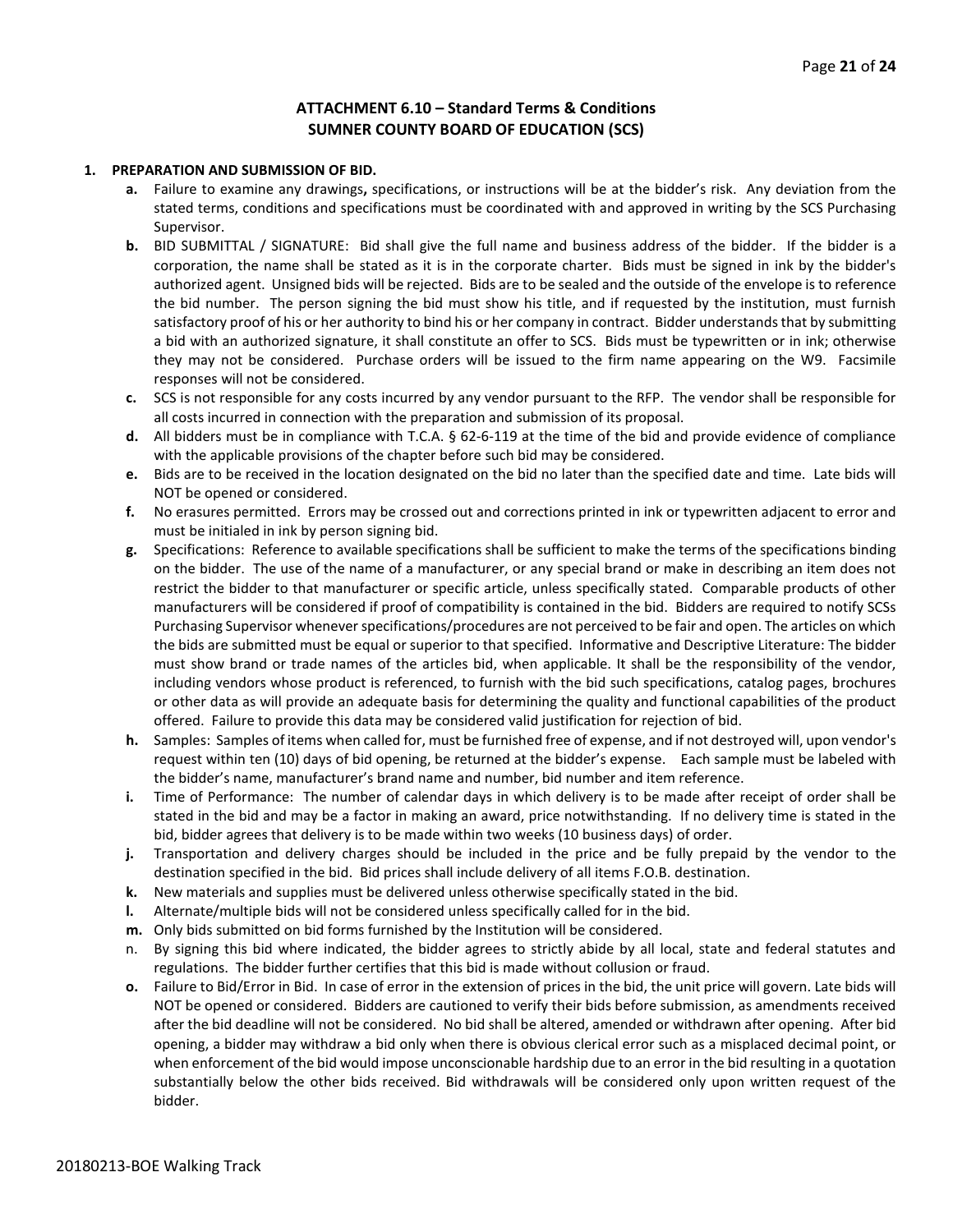#### **ATTACHMENT 6.10 – Standard Terms & Conditions SUMNER COUNTY BOARD OF EDUCATION (SCS)**

#### **1. PREPARATION AND SUBMISSION OF BID.**

- **a.** Failure to examine any drawings**,** specifications, or instructions will be at the bidder's risk. Any deviation from the stated terms, conditions and specifications must be coordinated with and approved in writing by the SCS Purchasing Supervisor.
- **b.** BID SUBMITTAL / SIGNATURE: Bid shall give the full name and business address of the bidder. If the bidder is a corporation, the name shall be stated as it is in the corporate charter. Bids must be signed in ink by the bidder's authorized agent. Unsigned bids will be rejected. Bids are to be sealed and the outside of the envelope is to reference the bid number. The person signing the bid must show his title, and if requested by the institution, must furnish satisfactory proof of his or her authority to bind his or her company in contract. Bidder understands that by submitting a bid with an authorized signature, it shall constitute an offer to SCS. Bids must be typewritten or in ink; otherwise they may not be considered. Purchase orders will be issued to the firm name appearing on the W9. Facsimile responses will not be considered.
- **c.** SCS is not responsible for any costs incurred by any vendor pursuant to the RFP. The vendor shall be responsible for all costs incurred in connection with the preparation and submission of its proposal.
- **d.** All bidders must be in compliance with T.C.A. § 62-6-119 at the time of the bid and provide evidence of compliance with the applicable provisions of the chapter before such bid may be considered.
- **e.** Bids are to be received in the location designated on the bid no later than the specified date and time. Late bids will NOT be opened or considered.
- **f.** No erasures permitted. Errors may be crossed out and corrections printed in ink or typewritten adjacent to error and must be initialed in ink by person signing bid.
- **g.** Specifications: Reference to available specifications shall be sufficient to make the terms of the specifications binding on the bidder. The use of the name of a manufacturer, or any special brand or make in describing an item does not restrict the bidder to that manufacturer or specific article, unless specifically stated. Comparable products of other manufacturers will be considered if proof of compatibility is contained in the bid. Bidders are required to notify SCSs Purchasing Supervisor whenever specifications/procedures are not perceived to be fair and open. The articles on which the bids are submitted must be equal or superior to that specified. Informative and Descriptive Literature: The bidder must show brand or trade names of the articles bid, when applicable. It shall be the responsibility of the vendor, including vendors whose product is referenced, to furnish with the bid such specifications, catalog pages, brochures or other data as will provide an adequate basis for determining the quality and functional capabilities of the product offered. Failure to provide this data may be considered valid justification for rejection of bid.
- **h.** Samples: Samples of items when called for, must be furnished free of expense, and if not destroyed will, upon vendor's request within ten (10) days of bid opening, be returned at the bidder's expense. Each sample must be labeled with the bidder's name, manufacturer's brand name and number, bid number and item reference.
- **i.** Time of Performance: The number of calendar days in which delivery is to be made after receipt of order shall be stated in the bid and may be a factor in making an award, price notwithstanding. If no delivery time is stated in the bid, bidder agrees that delivery is to be made within two weeks (10 business days) of order.
- **j.** Transportation and delivery charges should be included in the price and be fully prepaid by the vendor to the destination specified in the bid. Bid prices shall include delivery of all items F.O.B. destination.
- **k.** New materials and supplies must be delivered unless otherwise specifically stated in the bid.
- **l.** Alternate/multiple bids will not be considered unless specifically called for in the bid.
- **m.** Only bids submitted on bid forms furnished by the Institution will be considered.
- n. By signing this bid where indicated, the bidder agrees to strictly abide by all local, state and federal statutes and regulations. The bidder further certifies that this bid is made without collusion or fraud.
- **o.** Failure to Bid/Error in Bid. In case of error in the extension of prices in the bid, the unit price will govern. Late bids will NOT be opened or considered. Bidders are cautioned to verify their bids before submission, as amendments received after the bid deadline will not be considered. No bid shall be altered, amended or withdrawn after opening. After bid opening, a bidder may withdraw a bid only when there is obvious clerical error such as a misplaced decimal point, or when enforcement of the bid would impose unconscionable hardship due to an error in the bid resulting in a quotation substantially below the other bids received. Bid withdrawals will be considered only upon written request of the bidder.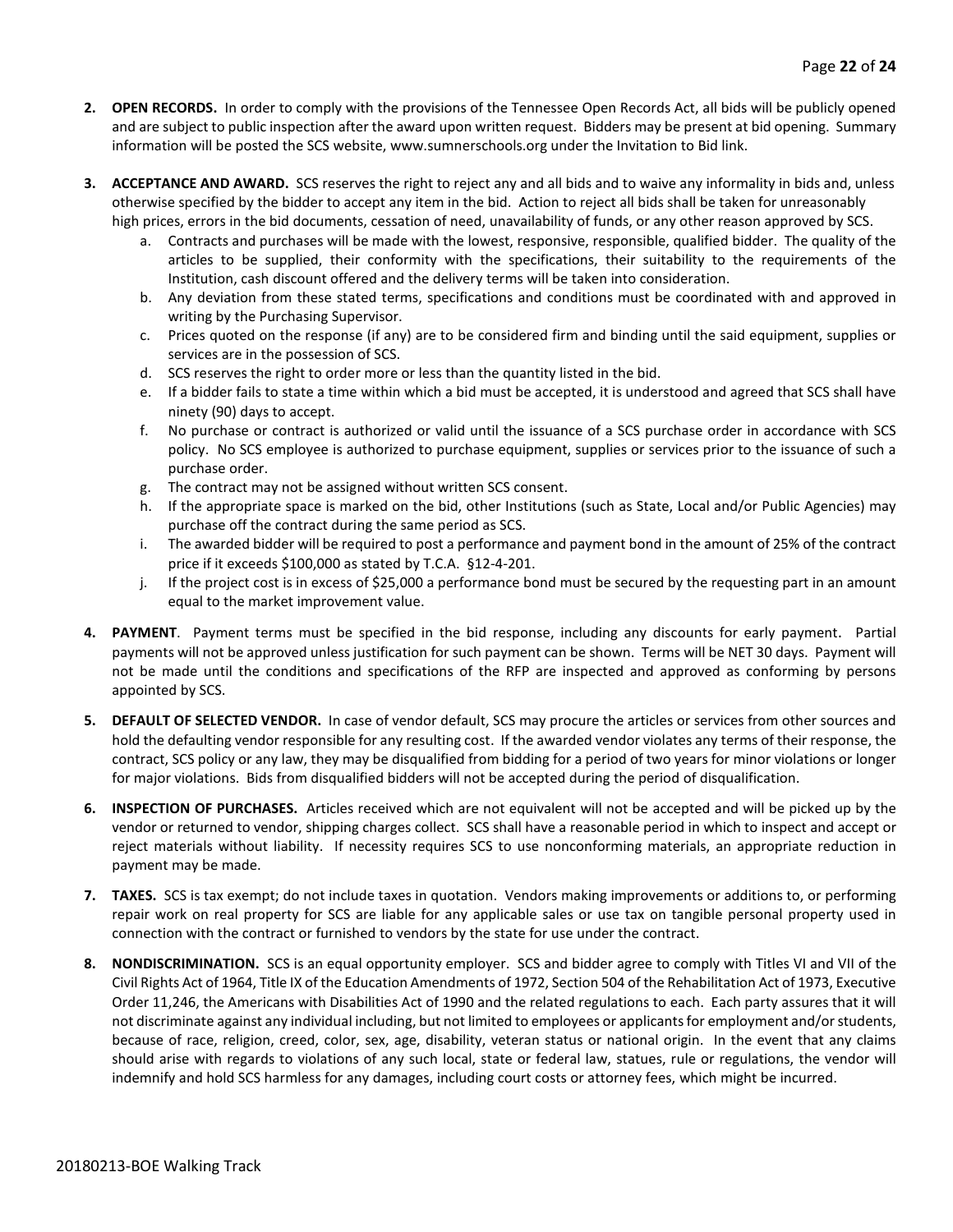- **2. OPEN RECORDS.** In order to comply with the provisions of the Tennessee Open Records Act, all bids will be publicly opened and are subject to public inspection after the award upon written request. Bidders may be present at bid opening. Summary information will be posted the SCS website, www.sumnerschools.org under the Invitation to Bid link.
- **3. ACCEPTANCE AND AWARD.** SCS reserves the right to reject any and all bids and to waive any informality in bids and, unless otherwise specified by the bidder to accept any item in the bid. Action to reject all bids shall be taken for unreasonably high prices, errors in the bid documents, cessation of need, unavailability of funds, or any other reason approved by SCS.
	- a. Contracts and purchases will be made with the lowest, responsive, responsible, qualified bidder. The quality of the articles to be supplied, their conformity with the specifications, their suitability to the requirements of the Institution, cash discount offered and the delivery terms will be taken into consideration.
	- b. Any deviation from these stated terms, specifications and conditions must be coordinated with and approved in writing by the Purchasing Supervisor.
	- c. Prices quoted on the response (if any) are to be considered firm and binding until the said equipment, supplies or services are in the possession of SCS.
	- d. SCS reserves the right to order more or less than the quantity listed in the bid.
	- e. If a bidder fails to state a time within which a bid must be accepted, it is understood and agreed that SCS shall have ninety (90) days to accept.
	- f. No purchase or contract is authorized or valid until the issuance of a SCS purchase order in accordance with SCS policy. No SCS employee is authorized to purchase equipment, supplies or services prior to the issuance of such a purchase order.
	- g. The contract may not be assigned without written SCS consent.
	- h. If the appropriate space is marked on the bid, other Institutions (such as State, Local and/or Public Agencies) may purchase off the contract during the same period as SCS.
	- i. The awarded bidder will be required to post a performance and payment bond in the amount of 25% of the contract price if it exceeds \$100,000 as stated by T.C.A. §12-4-201.
	- j. If the project cost is in excess of \$25,000 a performance bond must be secured by the requesting part in an amount equal to the market improvement value.
- **4. PAYMENT**. Payment terms must be specified in the bid response, including any discounts for early payment. Partial payments will not be approved unless justification for such payment can be shown. Terms will be NET 30 days. Payment will not be made until the conditions and specifications of the RFP are inspected and approved as conforming by persons appointed by SCS.
- **5. DEFAULT OF SELECTED VENDOR.** In case of vendor default, SCS may procure the articles or services from other sources and hold the defaulting vendor responsible for any resulting cost. If the awarded vendor violates any terms of their response, the contract, SCS policy or any law, they may be disqualified from bidding for a period of two years for minor violations or longer for major violations. Bids from disqualified bidders will not be accepted during the period of disqualification.
- **6. INSPECTION OF PURCHASES.** Articles received which are not equivalent will not be accepted and will be picked up by the vendor or returned to vendor, shipping charges collect. SCS shall have a reasonable period in which to inspect and accept or reject materials without liability. If necessity requires SCS to use nonconforming materials, an appropriate reduction in payment may be made.
- **7. TAXES.** SCS is tax exempt; do not include taxes in quotation. Vendors making improvements or additions to, or performing repair work on real property for SCS are liable for any applicable sales or use tax on tangible personal property used in connection with the contract or furnished to vendors by the state for use under the contract.
- **8. NONDISCRIMINATION.** SCS is an equal opportunity employer. SCS and bidder agree to comply with Titles VI and VII of the Civil Rights Act of 1964, Title IX of the Education Amendments of 1972, Section 504 of the Rehabilitation Act of 1973, Executive Order 11,246, the Americans with Disabilities Act of 1990 and the related regulations to each. Each party assures that it will not discriminate against any individual including, but not limited to employees or applicants for employment and/or students, because of race, religion, creed, color, sex, age, disability, veteran status or national origin. In the event that any claims should arise with regards to violations of any such local, state or federal law, statues, rule or regulations, the vendor will indemnify and hold SCS harmless for any damages, including court costs or attorney fees, which might be incurred.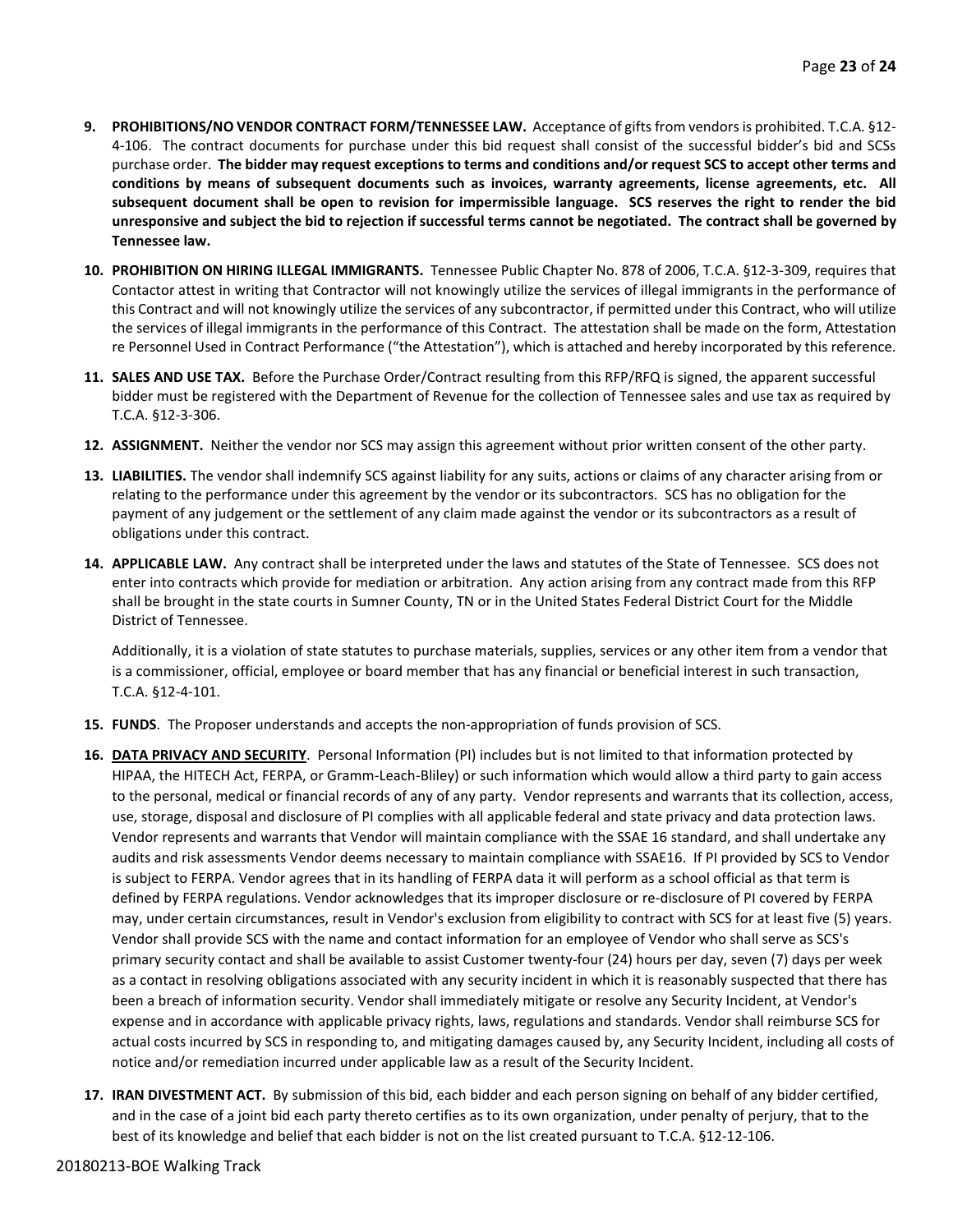- **9. PROHIBITIONS/NO VENDOR CONTRACT FORM/TENNESSEE LAW.** Acceptance of gifts from vendors is prohibited. T.C.A. §12- 4-106. The contract documents for purchase under this bid request shall consist of the successful bidder's bid and SCSs purchase order. **The bidder may request exceptions to terms and conditions and/or request SCS to accept other terms and conditions by means of subsequent documents such as invoices, warranty agreements, license agreements, etc. All subsequent document shall be open to revision for impermissible language. SCS reserves the right to render the bid unresponsive and subject the bid to rejection if successful terms cannot be negotiated. The contract shall be governed by Tennessee law.**
- **10. PROHIBITION ON HIRING ILLEGAL IMMIGRANTS.** Tennessee Public Chapter No. 878 of 2006, T.C.A. §12-3-309, requires that Contactor attest in writing that Contractor will not knowingly utilize the services of illegal immigrants in the performance of this Contract and will not knowingly utilize the services of any subcontractor, if permitted under this Contract, who will utilize the services of illegal immigrants in the performance of this Contract. The attestation shall be made on the form, Attestation re Personnel Used in Contract Performance ("the Attestation"), which is attached and hereby incorporated by this reference.
- **11. SALES AND USE TAX.** Before the Purchase Order/Contract resulting from this RFP/RFQ is signed, the apparent successful bidder must be registered with the Department of Revenue for the collection of Tennessee sales and use tax as required by T.C.A. §12-3-306.
- **12. ASSIGNMENT.** Neither the vendor nor SCS may assign this agreement without prior written consent of the other party.
- **13. LIABILITIES.** The vendor shall indemnify SCS against liability for any suits, actions or claims of any character arising from or relating to the performance under this agreement by the vendor or its subcontractors. SCS has no obligation for the payment of any judgement or the settlement of any claim made against the vendor or its subcontractors as a result of obligations under this contract.
- **14. APPLICABLE LAW.** Any contract shall be interpreted under the laws and statutes of the State of Tennessee. SCS does not enter into contracts which provide for mediation or arbitration. Any action arising from any contract made from this RFP shall be brought in the state courts in Sumner County, TN or in the United States Federal District Court for the Middle District of Tennessee.

Additionally, it is a violation of state statutes to purchase materials, supplies, services or any other item from a vendor that is a commissioner, official, employee or board member that has any financial or beneficial interest in such transaction, T.C.A. §12-4-101.

- **15. FUNDS**. The Proposer understands and accepts the non-appropriation of funds provision of SCS.
- **16. DATA PRIVACY AND SECURITY**. Personal Information (PI) includes but is not limited to that information protected by HIPAA, the HITECH Act, FERPA, or Gramm-Leach-Bliley) or such information which would allow a third party to gain access to the personal, medical or financial records of any of any party. Vendor represents and warrants that its collection, access, use, storage, disposal and disclosure of PI complies with all applicable federal and state privacy and data protection laws. Vendor represents and warrants that Vendor will maintain compliance with the SSAE 16 standard, and shall undertake any audits and risk assessments Vendor deems necessary to maintain compliance with SSAE16. If PI provided by SCS to Vendor is subject to FERPA. Vendor agrees that in its handling of FERPA data it will perform as a school official as that term is defined by FERPA regulations. Vendor acknowledges that its improper disclosure or re-disclosure of PI covered by FERPA may, under certain circumstances, result in Vendor's exclusion from eligibility to contract with SCS for at least five (5) years. Vendor shall provide SCS with the name and contact information for an employee of Vendor who shall serve as SCS's primary security contact and shall be available to assist Customer twenty-four (24) hours per day, seven (7) days per week as a contact in resolving obligations associated with any security incident in which it is reasonably suspected that there has been a breach of information security. Vendor shall immediately mitigate or resolve any Security Incident, at Vendor's expense and in accordance with applicable privacy rights, laws, regulations and standards. Vendor shall reimburse SCS for actual costs incurred by SCS in responding to, and mitigating damages caused by, any Security Incident, including all costs of notice and/or remediation incurred under applicable law as a result of the Security Incident.
- **17. IRAN DIVESTMENT ACT.** By submission of this bid, each bidder and each person signing on behalf of any bidder certified, and in the case of a joint bid each party thereto certifies as to its own organization, under penalty of perjury, that to the best of its knowledge and belief that each bidder is not on the list created pursuant to T.C.A. §12-12-106.